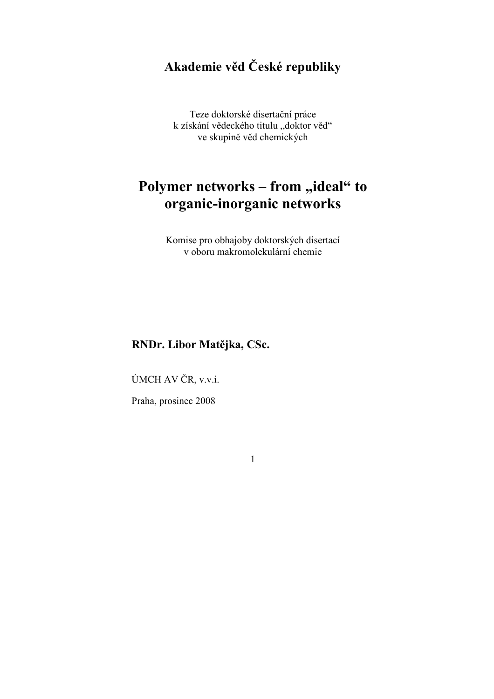# Akademie věd České republiky

Teze doktorské disertační práce k získání vědeckého titulu "doktor věd" ve skupině věd chemických

# Polymer networks - from "ideal" to organic-inorganic networks

Komise pro obhajoby doktorských disertací v oboru makromolekulární chemie

# RNDr. Libor Matějka, CSc.

ÚMCH AV ČR, v.v.i.

Praha, prosinec 2008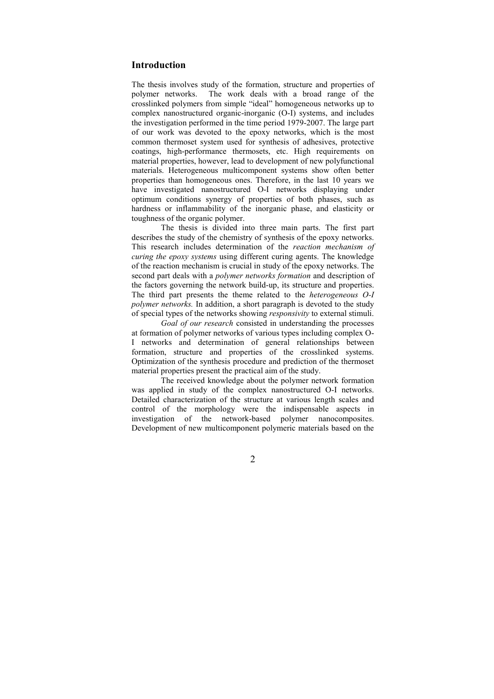# Introduction

The thesis involves study of the formation, structure and properties of polymer networks. The work deals with a broad range of the crosslinked polymers from simple "ideal" homogeneous networks up to complex nanostructured organic-inorganic (O-I) systems, and includes the investigation performed in the time period 1979-2007. The large part of our work was devoted to the epoxy networks, which is the most common thermoset system used for synthesis of adhesives, protective coatings, high-performance thermosets, etc. High requirements on material properties, however, lead to development of new polyfunctional materials. Heterogeneous multicomponent systems show often better properties than homogeneous ones. Therefore, in the last 10 years we have investigated nanostructured O-I networks displaying under optimum conditions synergy of properties of both phases, such as hardness or inflammability of the inorganic phase, and elasticity or toughness of the organic polymer.

The thesis is divided into three main parts. The first part describes the study of the chemistry of synthesis of the epoxy networks. This research includes determination of the reaction mechanism of curing the epoxy systems using different curing agents. The knowledge of the reaction mechanism is crucial in study of the epoxy networks. The second part deals with a *polymer networks formation* and description of the factors governing the network build-up, its structure and properties. The third part presents the theme related to the heterogeneous O-I polymer networks. In addition, a short paragraph is devoted to the study of special types of the networks showing responsivity to external stimuli.

Goal of our research consisted in understanding the processes at formation of polymer networks of various types including complex O-I networks and determination of general relationships between formation, structure and properties of the crosslinked systems. Optimization of the synthesis procedure and prediction of the thermoset material properties present the practical aim of the study.

 The received knowledge about the polymer network formation was applied in study of the complex nanostructured O-I networks. Detailed characterization of the structure at various length scales and control of the morphology were the indispensable aspects in investigation of the network-based polymer nanocomposites. Development of new multicomponent polymeric materials based on the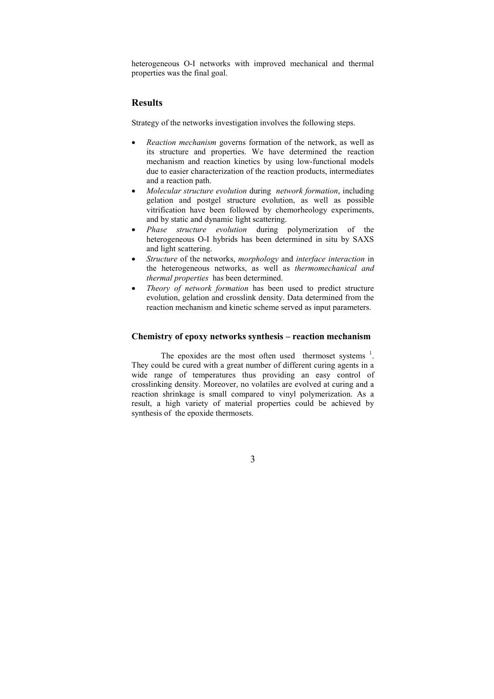heterogeneous O-I networks with improved mechanical and thermal properties was the final goal.

# Results

Strategy of the networks investigation involves the following steps.

- Reaction mechanism governs formation of the network, as well as its structure and properties. We have determined the reaction mechanism and reaction kinetics by using low-functional models due to easier characterization of the reaction products, intermediates and a reaction path.
- Molecular structure evolution during network formation, including gelation and postgel structure evolution, as well as possible vitrification have been followed by chemorheology experiments, and by static and dynamic light scattering.
- Phase structure evolution during polymerization of the heterogeneous O-I hybrids has been determined in situ by SAXS and light scattering.
- Structure of the networks, morphology and interface interaction in the heterogeneous networks, as well as thermomechanical and thermal properties has been determined.
- Theory of network formation has been used to predict structure evolution, gelation and crosslink density. Data determined from the reaction mechanism and kinetic scheme served as input parameters.

## Chemistry of epoxy networks synthesis – reaction mechanism

The epoxides are the most often used thermoset systems  $<sup>1</sup>$ .</sup> They could be cured with a great number of different curing agents in a wide range of temperatures thus providing an easy control of crosslinking density. Moreover, no volatiles are evolved at curing and a reaction shrinkage is small compared to vinyl polymerization. As a result, a high variety of material properties could be achieved by synthesis of the epoxide thermosets.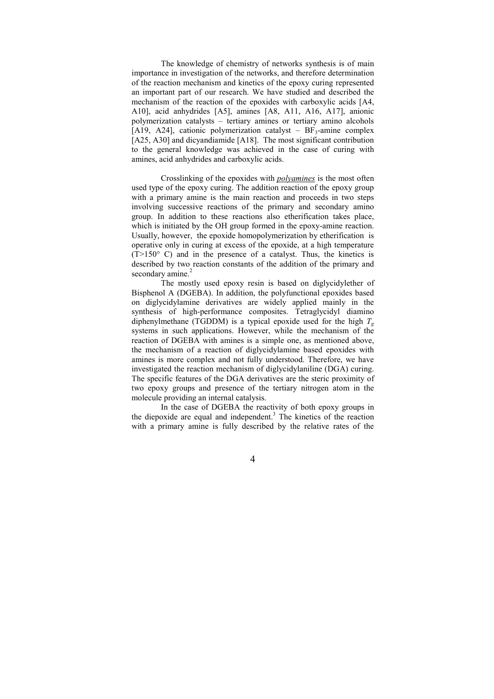The knowledge of chemistry of networks synthesis is of main importance in investigation of the networks, and therefore determination of the reaction mechanism and kinetics of the epoxy curing represented an important part of our research. We have studied and described the mechanism of the reaction of the epoxides with carboxylic acids [A4, A10], acid anhydrides [A5], amines [A8, A11, A16, A17], anionic polymerization catalysts – tertiary amines or tertiary amino alcohols [A19, A24], cationic polymerization catalyst –  $BF_3$ -amine complex [A25, A30] and dicyandiamide [A18]. The most significant contribution to the general knowledge was achieved in the case of curing with amines, acid anhydrides and carboxylic acids.

Crosslinking of the epoxides with polyamines is the most often used type of the epoxy curing. The addition reaction of the epoxy group with a primary amine is the main reaction and proceeds in two steps involving successive reactions of the primary and secondary amino group. In addition to these reactions also etherification takes place, which is initiated by the OH group formed in the epoxy-amine reaction. Usually, however, the epoxide homopolymerization by etherification is operative only in curing at excess of the epoxide, at a high temperature  $(T>150^{\circ}$  C) and in the presence of a catalyst. Thus, the kinetics is described by two reaction constants of the addition of the primary and secondary amine.<sup>2</sup>

The mostly used epoxy resin is based on diglycidylether of Bisphenol A (DGEBA). In addition, the polyfunctional epoxides based on diglycidylamine derivatives are widely applied mainly in the synthesis of high-performance composites. Tetraglycidyl diamino diphenylmethane (TGDDM) is a typical epoxide used for the high  $T_g$ systems in such applications. However, while the mechanism of the reaction of DGEBA with amines is a simple one, as mentioned above, the mechanism of a reaction of diglycidylamine based epoxides with amines is more complex and not fully understood. Therefore, we have investigated the reaction mechanism of diglycidylaniline (DGA) curing. The specific features of the DGA derivatives are the steric proximity of two epoxy groups and presence of the tertiary nitrogen atom in the molecule providing an internal catalysis.

In the case of DGEBA the reactivity of both epoxy groups in the diepoxide are equal and independent.<sup>3</sup> The kinetics of the reaction with a primary amine is fully described by the relative rates of the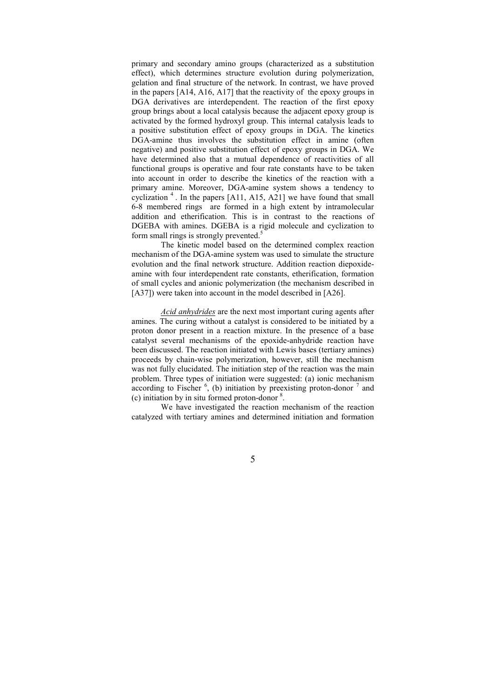primary and secondary amino groups (characterized as a substitution effect), which determines structure evolution during polymerization, gelation and final structure of the network. In contrast, we have proved in the papers [A14, A16, A17] that the reactivity of the epoxy groups in DGA derivatives are interdependent. The reaction of the first epoxy group brings about a local catalysis because the adjacent epoxy group is activated by the formed hydroxyl group. This internal catalysis leads to a positive substitution effect of epoxy groups in DGA. The kinetics DGA-amine thus involves the substitution effect in amine (often negative) and positive substitution effect of epoxy groups in DGA. We have determined also that a mutual dependence of reactivities of all functional groups is operative and four rate constants have to be taken into account in order to describe the kinetics of the reaction with a primary amine. Moreover, DGA-amine system shows a tendency to cyclization  $4$ . In the papers [A11, A15, A21] we have found that small 6-8 membered rings are formed in a high extent by intramolecular addition and etherification. This is in contrast to the reactions of DGEBA with amines. DGEBA is a rigid molecule and cyclization to form small rings is strongly prevented. $5$ 

The kinetic model based on the determined complex reaction mechanism of the DGA-amine system was used to simulate the structure evolution and the final network structure. Addition reaction diepoxideamine with four interdependent rate constants, etherification, formation of small cycles and anionic polymerization (the mechanism described in [A37]) were taken into account in the model described in [A26].

Acid anhydrides are the next most important curing agents after amines. The curing without a catalyst is considered to be initiated by a proton donor present in a reaction mixture. In the presence of a base catalyst several mechanisms of the epoxide-anhydride reaction have been discussed. The reaction initiated with Lewis bases (tertiary amines) proceeds by chain-wise polymerization, however, still the mechanism was not fully elucidated. The initiation step of the reaction was the main problem. Three types of initiation were suggested: (a) ionic mechanism according to Fischer  $<sup>6</sup>$ , (b) initiation by preexisting proton-donor  $<sup>7</sup>$  and</sup></sup>  $(c)$  initiation by in situ formed proton-donor  $8$ .

We have investigated the reaction mechanism of the reaction catalyzed with tertiary amines and determined initiation and formation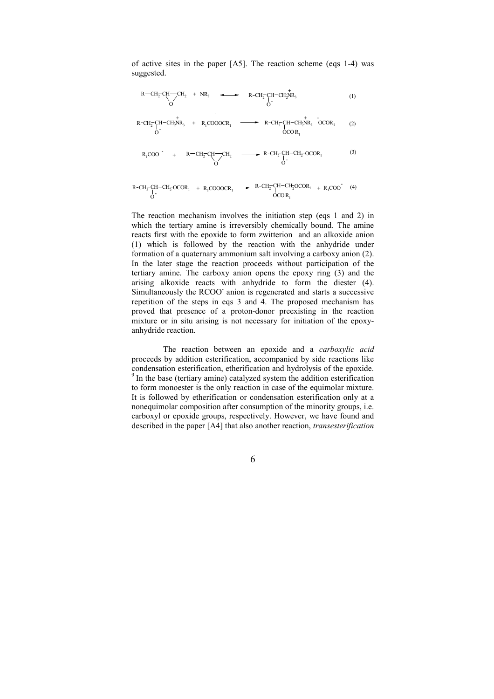of active sites in the paper [A5]. The reaction scheme (eqs 1-4) was suggested.



 $R$ -CH<sub>2</sub>-CH O OCO  $H = CH_2^{\dagger}OCOR_1 + R_1COOOCR_1 \rightarrow R = CH_2^{\dagger}CH = CH_2^{\dagger}$ <br>  $\rightarrow COOR$  $R_{1}$ 

The reaction mechanism involves the initiation step (eqs 1 and 2) in which the tertiary amine is irreversibly chemically bound. The amine reacts first with the epoxide to form zwitterion and an alkoxide anion (1) which is followed by the reaction with the anhydride under formation of a quaternary ammonium salt involving a carboxy anion (2). In the later stage the reaction proceeds without participation of the tertiary amine. The carboxy anion opens the epoxy ring (3) and the arising alkoxide reacts with anhydride to form the diester (4). Simultaneously the RCOO- anion is regenerated and starts a successive repetition of the steps in eqs 3 and 4. The proposed mechanism has proved that presence of a proton-donor preexisting in the reaction mixture or in situ arising is not necessary for initiation of the epoxyanhydride reaction.

The reaction between an epoxide and a *carboxylic acid* proceeds by addition esterification, accompanied by side reactions like condensation esterification, etherification and hydrolysis of the epoxide.  $9$  In the base (tertiary amine) catalyzed system the addition esterification to form monoester is the only reaction in case of the equimolar mixture. It is followed by etherification or condensation esterification only at a nonequimolar composition after consumption of the minority groups, i.e. carboxyl or epoxide groups, respectively. However, we have found and described in the paper [A4] that also another reaction, transesterification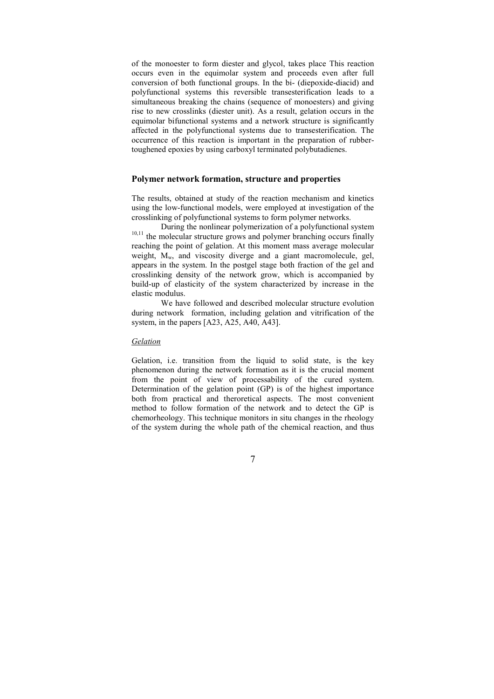of the monoester to form diester and glycol, takes place This reaction occurs even in the equimolar system and proceeds even after full conversion of both functional groups. In the bi- (diepoxide-diacid) and polyfunctional systems this reversible transesterification leads to a simultaneous breaking the chains (sequence of monoesters) and giving rise to new crosslinks (diester unit). As a result, gelation occurs in the equimolar bifunctional systems and a network structure is significantly affected in the polyfunctional systems due to transesterification. The occurrence of this reaction is important in the preparation of rubbertoughened epoxies by using carboxyl terminated polybutadienes.

### Polymer network formation, structure and properties

The results, obtained at study of the reaction mechanism and kinetics using the low-functional models, were employed at investigation of the crosslinking of polyfunctional systems to form polymer networks.

During the nonlinear polymerization of a polyfunctional system <sup>10,11</sup> the molecular structure grows and polymer branching occurs finally reaching the point of gelation. At this moment mass average molecular weight, M<sub>w</sub>, and viscosity diverge and a giant macromolecule, gel, appears in the system. In the postgel stage both fraction of the gel and crosslinking density of the network grow, which is accompanied by build-up of elasticity of the system characterized by increase in the elastic modulus.

 We have followed and described molecular structure evolution during network formation, including gelation and vitrification of the system, in the papers [A23, A25, A40, A43].

#### Gelation

Gelation, i.e. transition from the liquid to solid state, is the key phenomenon during the network formation as it is the crucial moment from the point of view of processability of the cured system. Determination of the gelation point (GP) is of the highest importance both from practical and theroretical aspects. The most convenient method to follow formation of the network and to detect the GP is chemorheology. This technique monitors in situ changes in the rheology of the system during the whole path of the chemical reaction, and thus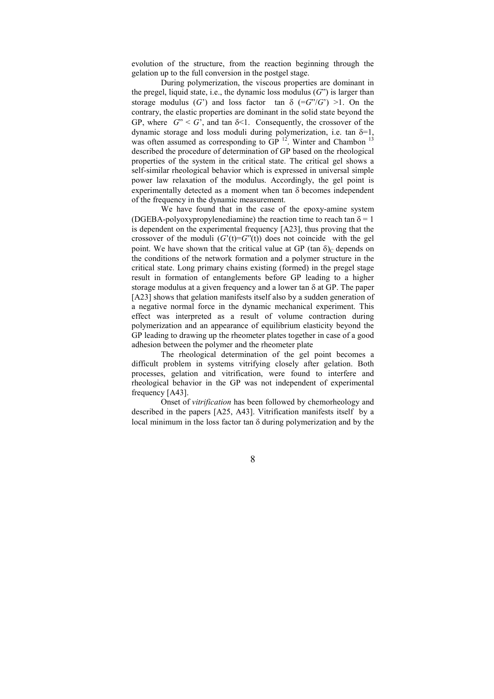evolution of the structure, from the reaction beginning through the gelation up to the full conversion in the postgel stage.

During polymerization, the viscous properties are dominant in the pregel, liquid state, i.e., the dynamic loss modulus  $(G^{\prime})$  is larger than storage modulus (G') and loss factor tan  $\delta$  (=G"/G') >1. On the contrary, the elastic properties are dominant in the solid state beyond the GP, where  $G'' \leq G'$ , and tan  $\delta \leq 1$ . Consequently, the crossover of the dynamic storage and loss moduli during polymerization, i.e. tan  $\delta=1$ , was often assumed as corresponding to  $GP<sup>12</sup>$ . Winter and Chambon  $<sup>13</sup>$ </sup> described the procedure of determination of GP based on the rheological properties of the system in the critical state. The critical gel shows a self-similar rheological behavior which is expressed in universal simple power law relaxation of the modulus. Accordingly, the gel point is experimentally detected as a moment when tan δ becomes independent of the frequency in the dynamic measurement.

We have found that in the case of the epoxy-amine system (DGEBA-polyoxypropylenediamine) the reaction time to reach tan  $\delta = 1$ is dependent on the experimental frequency [A23], thus proving that the crossover of the moduli  $(G'(t)=G''(t))$  does not coincide with the gel point. We have shown that the critical value at GP (tan  $\delta$ )<sub>C</sub> depends on the conditions of the network formation and a polymer structure in the critical state. Long primary chains existing (formed) in the pregel stage result in formation of entanglements before GP leading to a higher storage modulus at a given frequency and a lower tan  $\delta$  at GP. The paper [A23] shows that gelation manifests itself also by a sudden generation of a negative normal force in the dynamic mechanical experiment. This effect was interpreted as a result of volume contraction during polymerization and an appearance of equilibrium elasticity beyond the GP leading to drawing up the rheometer plates together in case of a good adhesion between the polymer and the rheometer plate

The rheological determination of the gel point becomes a difficult problem in systems vitrifying closely after gelation. Both processes, gelation and vitrification, were found to interfere and rheological behavior in the GP was not independent of experimental frequency [A43].

Onset of vitrification has been followed by chemorheology and described in the papers [A25, A43]. Vitrification manifests itself by a local minimum in the loss factor tan δ during polymerization and by the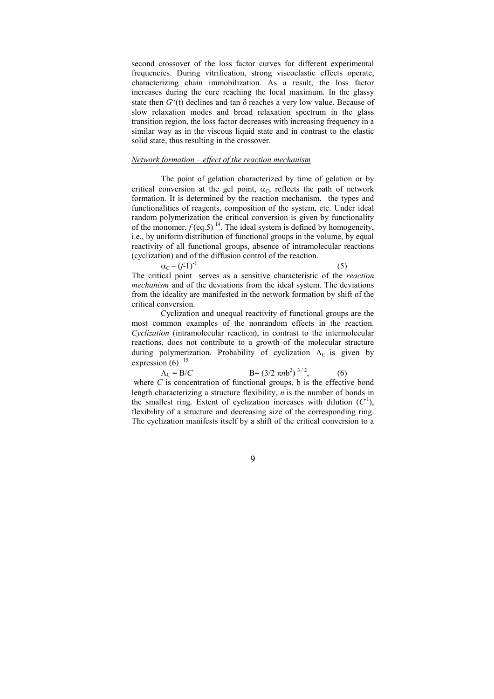second crossover of the loss factor curves for different experimental frequencies. During vitrification, strong viscoelastic effects operate, characterizing chain immobilization. As a result, the loss factor increases during the cure reaching the local maximum. In the glassy state then  $G''(t)$  declines and tan  $\delta$  reaches a very low value. Because of slow relaxation modes and broad relaxation spectrum in the glass transition region, the loss factor decreases with increasing frequency in a similar way as in the viscous liquid state and in contrast to the elastic solid state, thus resulting in the crossover.

#### Network formation – effect of the reaction mechanism

The point of gelation characterized by time of gelation or by critical conversion at the gel point,  $\alpha_C$ , reflects the path of network formation. It is determined by the reaction mechanism, the types and functionalities of reagents, composition of the system, etc. Under ideal random polymerization the critical conversion is given by functionality of the monomer,  $f$  (eq.5)<sup>14</sup>. The ideal system is defined by homogeneity, i.e., by uniform distribution of functional groups in the volume, by equal reactivity of all functional groups, absence of intramolecular reactions (cyclization) and of the diffusion control of the reaction.

 $\alpha_C = (f-1)^{-1}$  (5) The critical point serves as a sensitive characteristic of the reaction mechanism and of the deviations from the ideal system. The deviations from the ideality are manifested in the network formation by shift of the critical conversion.

Cyclization and unequal reactivity of functional groups are the most common examples of the nonrandom effects in the reaction. Cyclization (intramolecular reaction), in contrast to the intermolecular reactions, does not contribute to a growth of the molecular structure during polymerization. Probability of cyclization  $\Lambda_c$  is given by expression  $(6)$ <sup>15</sup>

 $\Lambda_C = B/C$   $B = (3/2 \pi nb^2)^{3/2}$ , (6) where  $C$  is concentration of functional groups,  $b$  is the effective bond length characterizing a structure flexibility,  $n$  is the number of bonds in the smallest ring. Extent of cyclization increases with dilution  $(C<sup>1</sup>)$ , flexibility of a structure and decreasing size of the corresponding ring. The cyclization manifests itself by a shift of the critical conversion to a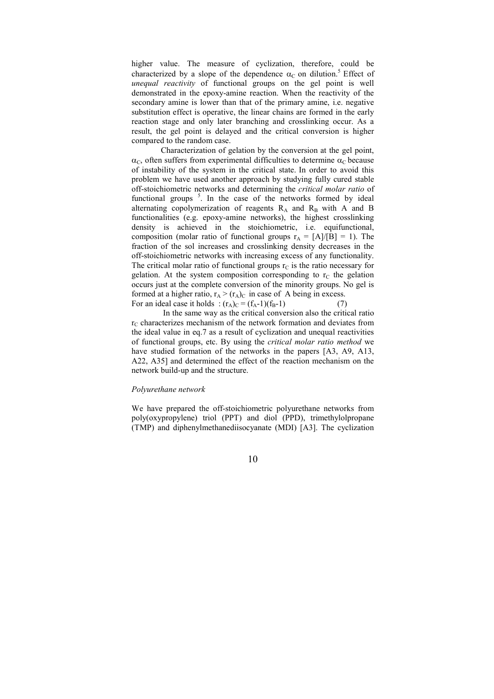higher value. The measure of cyclization, therefore, could be characterized by a slope of the dependence  $\alpha_C$  on dilution.<sup>5</sup> Effect of unequal reactivity of functional groups on the gel point is well demonstrated in the epoxy-amine reaction. When the reactivity of the secondary amine is lower than that of the primary amine, i.e. negative substitution effect is operative, the linear chains are formed in the early reaction stage and only later branching and crosslinking occur. As a result, the gel point is delayed and the critical conversion is higher compared to the random case.

Characterization of gelation by the conversion at the gel point,  $\alpha_c$ , often suffers from experimental difficulties to determine  $\alpha_c$  because of instability of the system in the critical state. In order to avoid this problem we have used another approach by studying fully cured stable off-stoichiometric networks and determining the critical molar ratio of functional groups<sup>5</sup>. In the case of the networks formed by ideal alternating copolymerization of reagents  $R_A$  and  $R_B$  with A and B functionalities (e.g. epoxy-amine networks), the highest crosslinking density is achieved in the stoichiometric, i.e. equifunctional, composition (molar ratio of functional groups  $r_A = [A]/[B] = 1$ ). The fraction of the sol increases and crosslinking density decreases in the off-stoichiometric networks with increasing excess of any functionality. The critical molar ratio of functional groups  $r_c$  is the ratio necessary for gelation. At the system composition corresponding to  $r<sub>C</sub>$  the gelation occurs just at the complete conversion of the minority groups. No gel is formed at a higher ratio,  $r_A > (r_A)_C$  in case of A being in excess. For an ideal case it holds :  $(r_A)_C = (f_A - 1)(f_B - 1)$  (7)

 In the same way as the critical conversion also the critical ratio  $r_{\rm C}$  characterizes mechanism of the network formation and deviates from the ideal value in eq.7 as a result of cyclization and unequal reactivities of functional groups, etc. By using the critical molar ratio method we have studied formation of the networks in the papers [A3, A9, A13, A22, A35] and determined the effect of the reaction mechanism on the network build-up and the structure.

#### Polyurethane network

We have prepared the off-stoichiometric polyurethane networks from poly(oxypropylene) triol (PPT) and diol (PPD), trimethylolpropane (TMP) and diphenylmethanediisocyanate (MDI) [A3]. The cyclization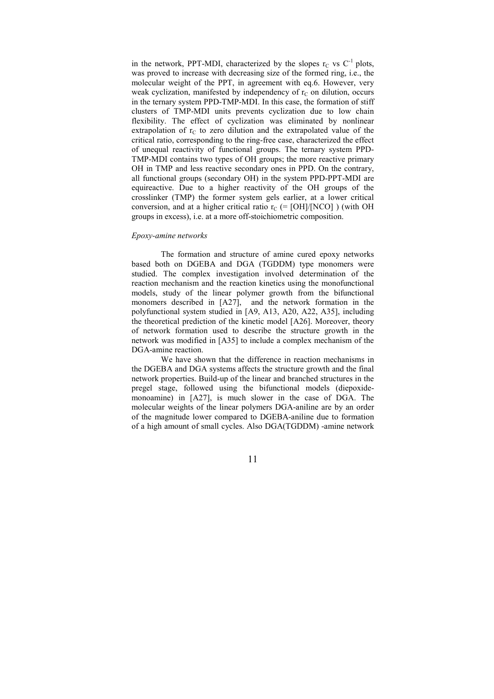in the network, PPT-MDI, characterized by the slopes  $r_c$  vs  $C^{-1}$  plots, was proved to increase with decreasing size of the formed ring, i.e., the molecular weight of the PPT, in agreement with eq.6. However, very weak cyclization, manifested by independency of  $r<sub>C</sub>$  on dilution, occurs in the ternary system PPD-TMP-MDI. In this case, the formation of stiff clusters of TMP-MDI units prevents cyclization due to low chain flexibility. The effect of cyclization was eliminated by nonlinear extrapolation of  $r<sub>C</sub>$  to zero dilution and the extrapolated value of the critical ratio, corresponding to the ring-free case, characterized the effect of unequal reactivity of functional groups. The ternary system PPD-TMP-MDI contains two types of OH groups; the more reactive primary OH in TMP and less reactive secondary ones in PPD. On the contrary, all functional groups (secondary OH) in the system PPD-PPT-MDI are equireactive. Due to a higher reactivity of the OH groups of the crosslinker (TMP) the former system gels earlier, at a lower critical conversion, and at a higher critical ratio  $r_C$  (= [OH]/[NCO]) (with OH groups in excess), i.e. at a more off-stoichiometric composition.

#### Epoxy-amine networks

 The formation and structure of amine cured epoxy networks based both on DGEBA and DGA (TGDDM) type monomers were studied. The complex investigation involved determination of the reaction mechanism and the reaction kinetics using the monofunctional models, study of the linear polymer growth from the bifunctional monomers described in [A27], and the network formation in the polyfunctional system studied in [A9, A13, A20, A22, A35], including the theoretical prediction of the kinetic model [A26]. Moreover, theory of network formation used to describe the structure growth in the network was modified in [A35] to include a complex mechanism of the DGA-amine reaction.

We have shown that the difference in reaction mechanisms in the DGEBA and DGA systems affects the structure growth and the final network properties. Build-up of the linear and branched structures in the pregel stage, followed using the bifunctional models (diepoxidemonoamine) in [A27], is much slower in the case of DGA. The molecular weights of the linear polymers DGA-aniline are by an order of the magnitude lower compared to DGEBA-aniline due to formation of a high amount of small cycles. Also DGA(TGDDM) -amine network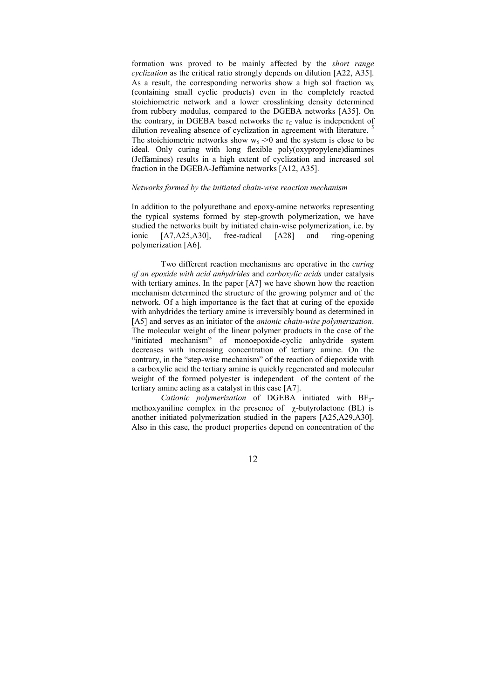formation was proved to be mainly affected by the short range cyclization as the critical ratio strongly depends on dilution [A22, A35]. As a result, the corresponding networks show a high sol fraction  $w_S$ (containing small cyclic products) even in the completely reacted stoichiometric network and a lower crosslinking density determined from rubbery modulus, compared to the DGEBA networks [A35]. On the contrary, in DGEBA based networks the  $r<sub>C</sub>$  value is independent of dilution revealing absence of cyclization in agreement with literature. The stoichiometric networks show  $w_s \rightarrow 0$  and the system is close to be ideal. Only curing with long flexible poly(oxypropylene)diamines (Jeffamines) results in a high extent of cyclization and increased sol fraction in the DGEBA-Jeffamine networks [A12, A35].

## Networks formed by the initiated chain-wise reaction mechanism

In addition to the polyurethane and epoxy-amine networks representing the typical systems formed by step-growth polymerization, we have studied the networks built by initiated chain-wise polymerization, i.e. by ionic [A7,A25,A30], free-radical [A28] and ring-opening polymerization [A6].

Two different reaction mechanisms are operative in the curing of an epoxide with acid anhydrides and carboxylic acids under catalysis with tertiary amines. In the paper [A7] we have shown how the reaction mechanism determined the structure of the growing polymer and of the network. Of a high importance is the fact that at curing of the epoxide with anhydrides the tertiary amine is irreversibly bound as determined in [A5] and serves as an initiator of the *anionic chain-wise polymerization*. The molecular weight of the linear polymer products in the case of the "initiated mechanism" of monoepoxide-cyclic anhydride system decreases with increasing concentration of tertiary amine. On the contrary, in the "step-wise mechanism" of the reaction of diepoxide with a carboxylic acid the tertiary amine is quickly regenerated and molecular weight of the formed polyester is independent of the content of the tertiary amine acting as a catalyst in this case [A7].

Cationic polymerization of DGEBA initiated with  $BF_3$ methoxyaniline complex in the presence of  $\gamma$ -butyrolactone (BL) is another initiated polymerization studied in the papers [A25,A29,A30]. Also in this case, the product properties depend on concentration of the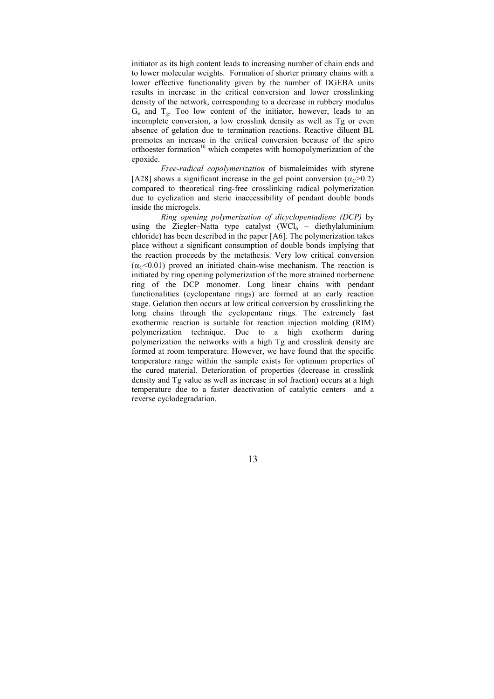initiator as its high content leads to increasing number of chain ends and to lower molecular weights. Formation of shorter primary chains with a lower effective functionality given by the number of DGEBA units results in increase in the critical conversion and lower crosslinking density of the network, corresponding to a decrease in rubbery modulus  $G_e$  and  $T_g$ . Too low content of the initiator, however, leads to an incomplete conversion, a low crosslink density as well as Tg or even absence of gelation due to termination reactions. Reactive diluent BL promotes an increase in the critical conversion because of the spiro orthoester formation<sup>16</sup> which competes with homopolymerization of the epoxide.

Free-radical copolymerization of bismaleimides with styrene [A28] shows a significant increase in the gel point conversion ( $\alpha_c$ >0.2) compared to theoretical ring-free crosslinking radical polymerization due to cyclization and steric inaccessibility of pendant double bonds inside the microgels.

Ring opening polymerization of dicyclopentadiene (DCP) by using the Ziegler–Natta type catalyst  $(WCl_6 -$  diethylaluminium chloride) has been described in the paper [A6]. The polymerization takes place without a significant consumption of double bonds implying that the reaction proceeds by the metathesis. Very low critical conversion  $(\alpha_c < 0.01)$  proved an initiated chain-wise mechanism. The reaction is initiated by ring opening polymerization of the more strained norbernene ring of the DCP monomer. Long linear chains with pendant functionalities (cyclopentane rings) are formed at an early reaction stage. Gelation then occurs at low critical conversion by crosslinking the long chains through the cyclopentane rings. The extremely fast exothermic reaction is suitable for reaction injection molding (RIM) polymerization technique. Due to a high exotherm during polymerization the networks with a high Tg and crosslink density are formed at room temperature. However, we have found that the specific temperature range within the sample exists for optimum properties of the cured material. Deterioration of properties (decrease in crosslink density and Tg value as well as increase in sol fraction) occurs at a high temperature due to a faster deactivation of catalytic centers and a reverse cyclodegradation.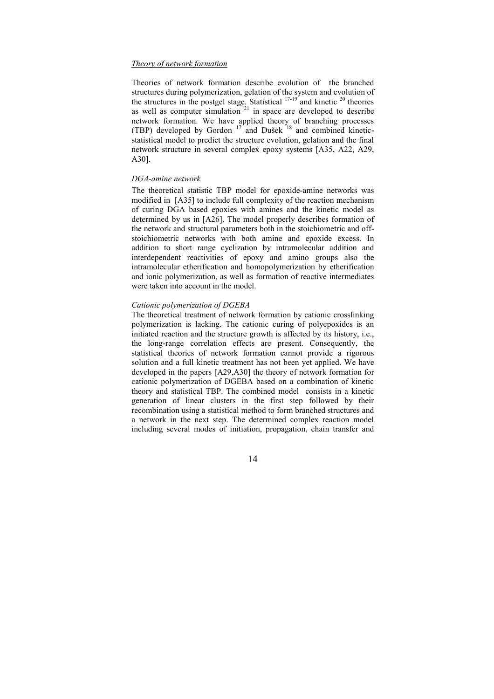## Theory of network formation

Theories of network formation describe evolution of the branched structures during polymerization, gelation of the system and evolution of the structures in the postgel stage. Statistical  $17-19$  and kinetic  $20$  theories as well as computer simulation  $21$  in space are developed to describe network formation. We have applied theory of branching processes (TBP) developed by Gordon  $17$  and Dušek  $18$  and combined kineticstatistical model to predict the structure evolution, gelation and the final network structure in several complex epoxy systems [A35, A22, A29, A30].

#### DGA-amine network

The theoretical statistic TBP model for epoxide-amine networks was modified in [A35] to include full complexity of the reaction mechanism of curing DGA based epoxies with amines and the kinetic model as determined by us in [A26]. The model properly describes formation of the network and structural parameters both in the stoichiometric and offstoichiometric networks with both amine and epoxide excess. In addition to short range cyclization by intramolecular addition and interdependent reactivities of epoxy and amino groups also the intramolecular etherification and homopolymerization by etherification and ionic polymerization, as well as formation of reactive intermediates were taken into account in the model.

## Cationic polymerization of DGEBA

The theoretical treatment of network formation by cationic crosslinking polymerization is lacking. The cationic curing of polyepoxides is an initiated reaction and the structure growth is affected by its history, i.e., the long-range correlation effects are present. Consequently, the statistical theories of network formation cannot provide a rigorous solution and a full kinetic treatment has not been yet applied. We have developed in the papers [A29,A30] the theory of network formation for cationic polymerization of DGEBA based on a combination of kinetic theory and statistical TBP. The combined model consists in a kinetic generation of linear clusters in the first step followed by their recombination using a statistical method to form branched structures and a network in the next step. The determined complex reaction model including several modes of initiation, propagation, chain transfer and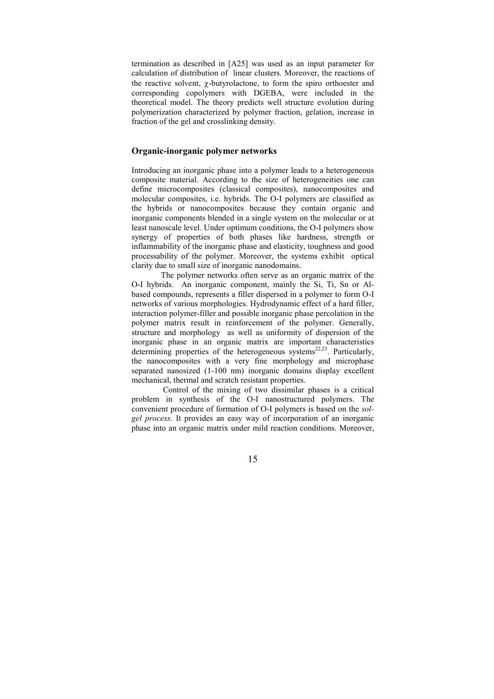termination as described in [A25] was used as an input parameter for calculation of distribution of linear clusters. Moreover, the reactions of the reactive solvent,  $\chi$ -butyrolactone, to form the spiro orthoester and corresponding copolymers with DGEBA, were included in the theoretical model. The theory predicts well structure evolution during polymerization characterized by polymer fraction, gelation, increase in fraction of the gel and crosslinking density.

### Organic-inorganic polymer networks

Introducing an inorganic phase into a polymer leads to a heterogeneous composite material. According to the size of heterogeneities one can define microcomposites (classical composites), nanocomposites and molecular composites, i.e. hybrids. The O-I polymers are classified as the hybrids or nanocomposites because they contain organic and inorganic components blended in a single system on the molecular or at least nanoscale level. Under optimum conditions, the O-I polymers show synergy of properties of both phases like hardness, strength or inflammability of the inorganic phase and elasticity, toughness and good processability of the polymer. Moreover, the systems exhibit optical clarity due to small size of inorganic nanodomains.

 The polymer networks often serve as an organic matrix of the O-I hybrids. An inorganic component, mainly the Si, Ti, Sn or Albased compounds, represents a filler dispersed in a polymer to form O-I networks of various morphologies. Hydrodynamic effect of a hard filler, interaction polymer-filler and possible inorganic phase percolation in the polymer matrix result in reinforcement of the polymer. Generally, structure and morphology as well as uniformity of dispersion of the inorganic phase in an organic matrix are important characteristics determining properties of the heterogeneous systems<sup>22,23</sup>. Particularly, the nanocomposites with a very fine morphology and microphase separated nanosized (1-100 nm) inorganic domains display excellent mechanical, thermal and scratch resistant properties.

 Control of the mixing of two dissimilar phases is a critical problem in synthesis of the O-I nanostructured polymers. The convenient procedure of formation of O-I polymers is based on the solgel process. It provides an easy way of incorporation of an inorganic phase into an organic matrix under mild reaction conditions. Moreover,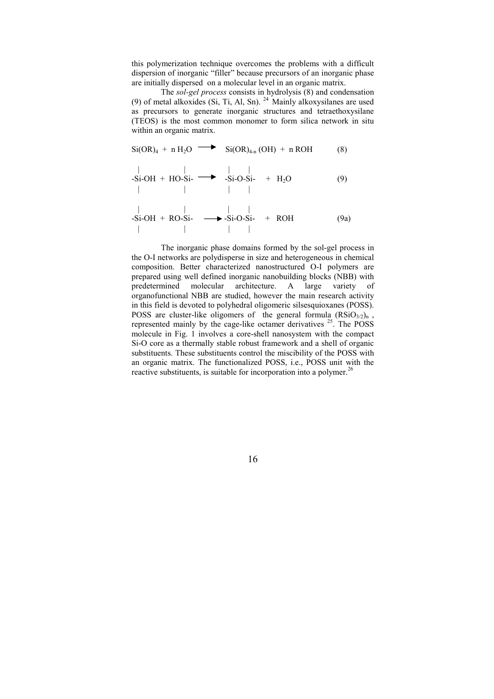this polymerization technique overcomes the problems with a difficult dispersion of inorganic "filler" because precursors of an inorganic phase are initially dispersed on a molecular level in an organic matrix.

The sol-gel process consists in hydrolysis (8) and condensation (9) of metal alkoxides (Si, Ti, Al, Sn).  $^{24}$  Mainly alkoxysilanes are used as precursors to generate inorganic structures and tetraethoxysilane (TEOS) is the most common monomer to form silica network in situ within an organic matrix.

$$
Si(OR)4 + n H2O \longrightarrow Si(OR)4-n (OH) + n ROH
$$
 (8)

$$
-Si-OH + HO-Si- \longrightarrow -Si-O-Si- + H2O \qquad (9)
$$

$$
-Si-OH + RO-Si- \longrightarrow -Si-O-Si- + ROH
$$
 (9a)

 The inorganic phase domains formed by the sol-gel process in the O-I networks are polydisperse in size and heterogeneous in chemical composition. Better characterized nanostructured O-I polymers are prepared using well defined inorganic nanobuilding blocks (NBB) with<br>predetermined molecular architecture. A large variety of predetermined molecular architecture. A large variety of organofunctional NBB are studied, however the main research activity in this field is devoted to polyhedral oligomeric silsesquioxanes (POSS). POSS are cluster-like oligomers of the general formula  $(RSiO<sub>3/2</sub>)<sub>n</sub>$ , represented mainly by the cage-like octamer derivatives  $25$ . The POSS molecule in Fig. 1 involves a core-shell nanosystem with the compact Si-O core as a thermally stable robust framework and a shell of organic substituents. These substituents control the miscibility of the POSS with an organic matrix. The functionalized POSS, i.e., POSS unit with the reactive substituents, is suitable for incorporation into a polymer.<sup>26</sup>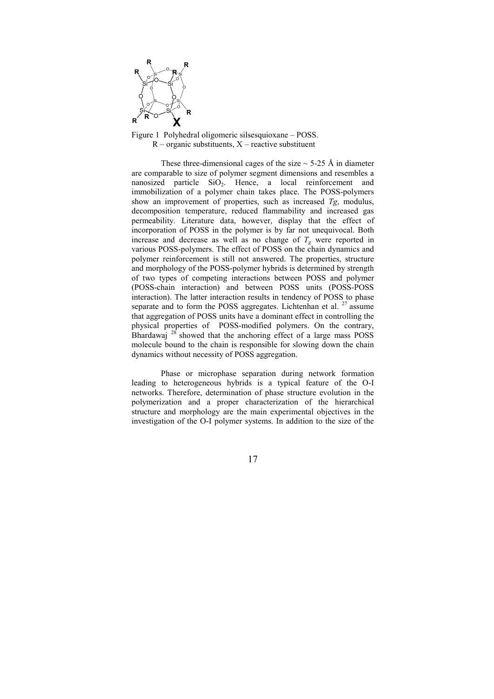

Figure 1 Polyhedral oligomeric silsesquioxane – POSS.  $R$  – organic substituents,  $X$  – reactive substituent

These three-dimensional cages of the size  $\sim$  5-25 Å in diameter are comparable to size of polymer segment dimensions and resembles a nanosized particle  $SiO<sub>2</sub>$ . Hence, a local reinforcement and immobilization of a polymer chain takes place. The POSS-polymers show an improvement of properties, such as increased  $Tg$ , modulus, decomposition temperature, reduced flammability and increased gas permeability. Literature data, however, display that the effect of incorporation of POSS in the polymer is by far not unequivocal. Both increase and decrease as well as no change of  $T_g$  were reported in various POSS-polymers. The effect of POSS on the chain dynamics and polymer reinforcement is still not answered. The properties, structure and morphology of the POSS-polymer hybrids is determined by strength of two types of competing interactions between POSS and polymer (POSS-chain interaction) and between POSS units (POSS-POSS interaction). The latter interaction results in tendency of POSS to phase separate and to form the POSS aggregates. Lichtenhan et al.  $27$  assume that aggregation of POSS units have a dominant effect in controlling the physical properties of POSS-modified polymers. On the contrary, Bhardawaj  $^{28}$  showed that the anchoring effect of a large mass POSS molecule bound to the chain is responsible for slowing down the chain dynamics without necessity of POSS aggregation.

Phase or microphase separation during network formation leading to heterogeneous hybrids is a typical feature of the O-I networks. Therefore, determination of phase structure evolution in the polymerization and a proper characterization of the hierarchical structure and morphology are the main experimental objectives in the investigation of the O-I polymer systems. In addition to the size of the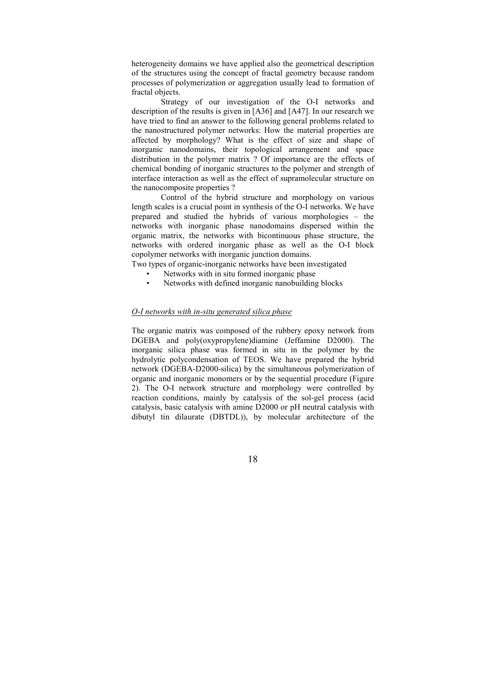heterogeneity domains we have applied also the geometrical description of the structures using the concept of fractal geometry because random processes of polymerization or aggregation usually lead to formation of fractal objects.

 Strategy of our investigation of the O-I networks and description of the results is given in [A36] and [A47]. In our research we have tried to find an answer to the following general problems related to the nanostructured polymer networks: How the material properties are affected by morphology? What is the effect of size and shape of inorganic nanodomains, their topological arrangement and space distribution in the polymer matrix ? Of importance are the effects of chemical bonding of inorganic structures to the polymer and strength of interface interaction as well as the effect of supramolecular structure on the nanocomposite properties ?

 Control of the hybrid structure and morphology on various length scales is a crucial point in synthesis of the O-I networks. We have prepared and studied the hybrids of various morphologies – the networks with inorganic phase nanodomains dispersed within the organic matrix, the networks with bicontinuous phase structure, the networks with ordered inorganic phase as well as the O-I block copolymer networks with inorganic junction domains.

Two types of organic-inorganic networks have been investigated

- Networks with in situ formed inorganic phase
- Networks with defined inorganic nanobuilding blocks

#### O-I networks with in-situ generated silica phase

The organic matrix was composed of the rubbery epoxy network from DGEBA and poly(oxypropylene)diamine (Jeffamine D2000). The inorganic silica phase was formed in situ in the polymer by the hydrolytic polycondensation of TEOS. We have prepared the hybrid network (DGEBA-D2000-silica) by the simultaneous polymerization of organic and inorganic monomers or by the sequential procedure (Figure 2). The O-I network structure and morphology were controlled by reaction conditions, mainly by catalysis of the sol-gel process (acid catalysis, basic catalysis with amine D2000 or pH neutral catalysis with dibutyl tin dilaurate (DBTDL)), by molecular architecture of the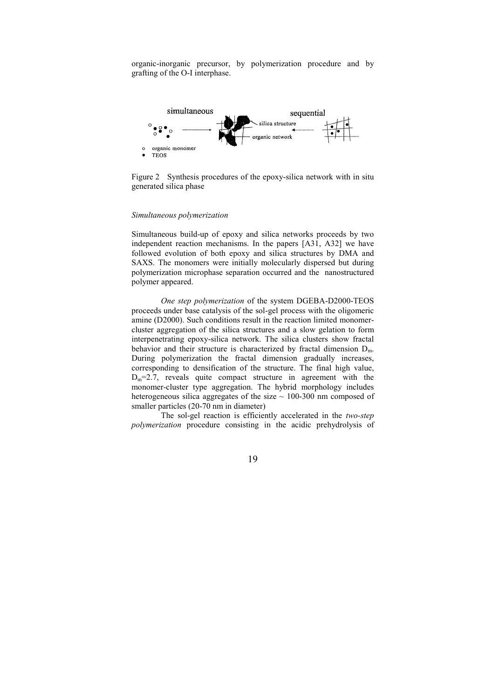organic-inorganic precursor, by polymerization procedure and by grafting of the O-I interphase.



Figure 2 Synthesis procedures of the epoxy-silica network with in situ generated silica phase

#### Simultaneous polymerization

Simultaneous build-up of epoxy and silica networks proceeds by two independent reaction mechanisms. In the papers [A31, A32] we have followed evolution of both epoxy and silica structures by DMA and SAXS. The monomers were initially molecularly dispersed but during polymerization microphase separation occurred and the nanostructured polymer appeared.

One step polymerization of the system DGEBA-D2000-TEOS proceeds under base catalysis of the sol-gel process with the oligomeric amine (D2000). Such conditions result in the reaction limited monomercluster aggregation of the silica structures and a slow gelation to form interpenetrating epoxy-silica network. The silica clusters show fractal behavior and their structure is characterized by fractal dimension  $D_m$ . During polymerization the fractal dimension gradually increases, corresponding to densification of the structure. The final high value,  $D_m=2.7$ , reveals quite compact structure in agreement with the monomer-cluster type aggregation. The hybrid morphology includes heterogeneous silica aggregates of the size  $\sim$  100-300 nm composed of smaller particles (20-70 nm in diameter)

The sol-gel reaction is efficiently accelerated in the two-step polymerization procedure consisting in the acidic prehydrolysis of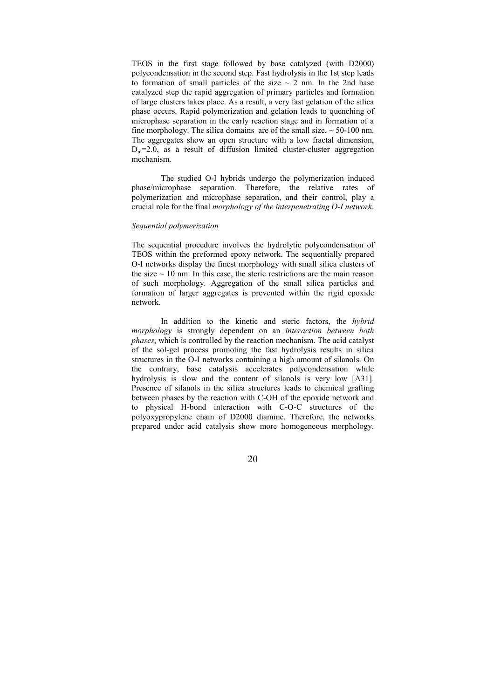TEOS in the first stage followed by base catalyzed (with D2000) polycondensation in the second step. Fast hydrolysis in the 1st step leads to formation of small particles of the size  $\sim$  2 nm. In the 2nd base catalyzed step the rapid aggregation of primary particles and formation of large clusters takes place. As a result, a very fast gelation of the silica phase occurs. Rapid polymerization and gelation leads to quenching of microphase separation in the early reaction stage and in formation of a fine morphology. The silica domains are of the small size,  $\sim$  50-100 nm. The aggregates show an open structure with a low fractal dimension,  $D_m=2.0$ , as a result of diffusion limited cluster-cluster aggregation mechanism.

 The studied O-I hybrids undergo the polymerization induced phase/microphase separation. Therefore, the relative rates of polymerization and microphase separation, and their control, play a crucial role for the final morphology of the interpenetrating O-I network.

#### Sequential polymerization

The sequential procedure involves the hydrolytic polycondensation of TEOS within the preformed epoxy network. The sequentially prepared O-I networks display the finest morphology with small silica clusters of the size  $\sim$  10 nm. In this case, the steric restrictions are the main reason of such morphology. Aggregation of the small silica particles and formation of larger aggregates is prevented within the rigid epoxide network.

In addition to the kinetic and steric factors, the hybrid morphology is strongly dependent on an interaction between both phases, which is controlled by the reaction mechanism. The acid catalyst of the sol-gel process promoting the fast hydrolysis results in silica structures in the O-I networks containing a high amount of silanols. On the contrary, base catalysis accelerates polycondensation while hydrolysis is slow and the content of silanols is very low [A31]. Presence of silanols in the silica structures leads to chemical grafting between phases by the reaction with C-OH of the epoxide network and to physical H-bond interaction with C-O-C structures of the polyoxypropylene chain of D2000 diamine. Therefore, the networks prepared under acid catalysis show more homogeneous morphology.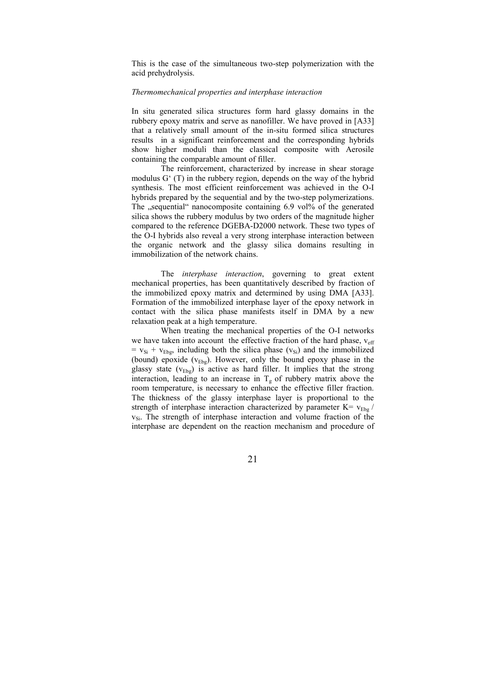This is the case of the simultaneous two-step polymerization with the acid prehydrolysis.

#### Thermomechanical properties and interphase interaction

In situ generated silica structures form hard glassy domains in the rubbery epoxy matrix and serve as nanofiller. We have proved in [A33] that a relatively small amount of the in-situ formed silica structures results in a significant reinforcement and the corresponding hybrids show higher moduli than the classical composite with Aerosile containing the comparable amount of filler.

 The reinforcement, characterized by increase in shear storage modulus G' (T) in the rubbery region, depends on the way of the hybrid synthesis. The most efficient reinforcement was achieved in the O-I hybrids prepared by the sequential and by the two-step polymerizations. The "sequential" nanocomposite containing 6.9 vol% of the generated silica shows the rubbery modulus by two orders of the magnitude higher compared to the reference DGEBA-D2000 network. These two types of the O-I hybrids also reveal a very strong interphase interaction between the organic network and the glassy silica domains resulting in immobilization of the network chains.

 The interphase interaction, governing to great extent mechanical properties, has been quantitatively described by fraction of the immobilized epoxy matrix and determined by using DMA [A33]. Formation of the immobilized interphase layer of the epoxy network in contact with the silica phase manifests itself in DMA by a new relaxation peak at a high temperature.

 When treating the mechanical properties of the O-I networks we have taken into account the effective fraction of the hard phase,  $v_{\text{eff}}$  $= v_{Si} + v_{Ebg}$ , including both the silica phase ( $v_{Si}$ ) and the immobilized (bound) epoxide  $(v_{Ebg})$ . However, only the bound epoxy phase in the glassy state ( $v_{Ebg}$ ) is active as hard filler. It implies that the strong interaction, leading to an increase in  $T_{g}$  of rubbery matrix above the room temperature, is necessary to enhance the effective filler fraction. The thickness of the glassy interphase layer is proportional to the strength of interphase interaction characterized by parameter  $K= v_{Ebg} /$  $v_{Si}$ . The strength of interphase interaction and volume fraction of the interphase are dependent on the reaction mechanism and procedure of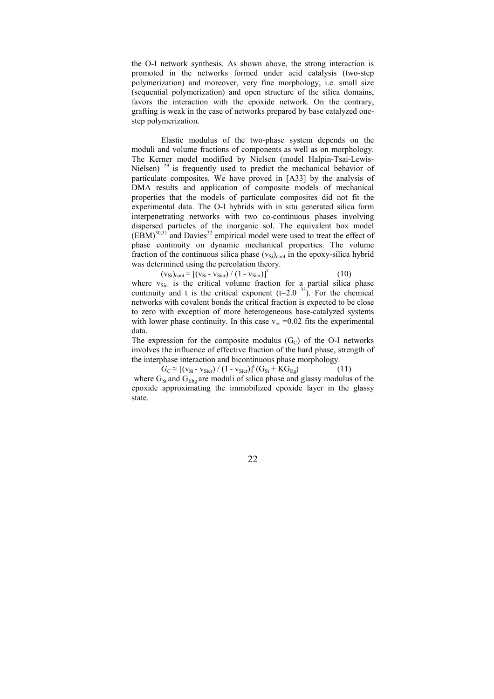the O-I network synthesis. As shown above, the strong interaction is promoted in the networks formed under acid catalysis (two-step polymerization) and moreover, very fine morphology, i.e. small size (sequential polymerization) and open structure of the silica domains, favors the interaction with the epoxide network. On the contrary, grafting is weak in the case of networks prepared by base catalyzed onestep polymerization.

 Elastic modulus of the two-phase system depends on the moduli and volume fractions of components as well as on morphology. The Kerner model modified by Nielsen (model Halpin-Tsai-Lewis-Nielsen)  $29$  is frequently used to predict the mechanical behavior of particulate composites. We have proved in [A33] by the analysis of DMA results and application of composite models of mechanical properties that the models of particulate composites did not fit the experimental data. The O-I hybrids with in situ generated silica form interpenetrating networks with two co-continuous phases involving dispersed particles of the inorganic sol. The equivalent box model  $(EBM)^{30,31}$  and Davies<sup>32</sup> empirical model were used to treat the effect of phase continuity on dynamic mechanical properties. The volume fraction of the continuous silica phase  $(v_{Si})_{cont}$  in the epoxy-silica hybrid was determined using the percolation theory.

 $(v_{\text{Si}})_{\text{cont}} = [(v_{\text{Si}} - v_{\text{Sicr}}) / (1 - v_{\text{Sicr}})]^t$ where  $v_{Sicr}$  is the critical volume fraction for a partial silica phase continuity and t is the critical exponent  $(t=2.0 \frac{33}{1})$ . For the chemical networks with covalent bonds the critical fraction is expected to be close to zero with exception of more heterogeneous base-catalyzed systems with lower phase continuity. In this case  $v_{cr} = 0.02$  fits the experimental data.

The expression for the composite modulus  $(G<sub>C</sub>)$  of the O-I networks involves the influence of effective fraction of the hard phase, strength of the interphase interaction and bicontinuous phase morphology.

 $G_C \approx [(v_{Si} - v_{Sic}) / (1 - v_{Sic})]^t (G_{Si} + KG_{Eg})$  (11) where  $G_{Si}$  and  $G_{Ebg}$  are moduli of silica phase and glassy modulus of the epoxide approximating the immobilized epoxide layer in the glassy state.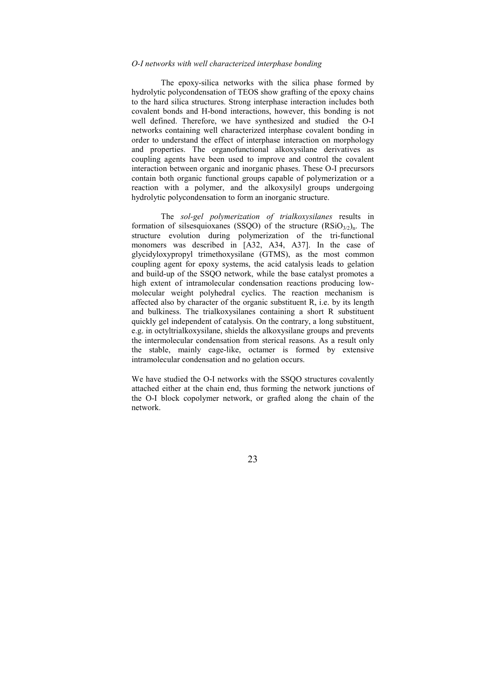#### O-I networks with well characterized interphase bonding

The epoxy-silica networks with the silica phase formed by hydrolytic polycondensation of TEOS show grafting of the epoxy chains to the hard silica structures. Strong interphase interaction includes both covalent bonds and H-bond interactions, however, this bonding is not well defined. Therefore, we have synthesized and studied the O-I networks containing well characterized interphase covalent bonding in order to understand the effect of interphase interaction on morphology and properties. The organofunctional alkoxysilane derivatives as coupling agents have been used to improve and control the covalent interaction between organic and inorganic phases. These O-I precursors contain both organic functional groups capable of polymerization or a reaction with a polymer, and the alkoxysilyl groups undergoing hydrolytic polycondensation to form an inorganic structure.

The sol-gel polymerization of trialkoxysilanes results in formation of silsesquioxanes (SSOO) of the structure  $(RSiO<sub>3/2</sub>)<sub>n</sub>$ . The structure evolution during polymerization of the tri-functional monomers was described in [A32, A34, A37]. In the case of glycidyloxypropyl trimethoxysilane (GTMS), as the most common coupling agent for epoxy systems, the acid catalysis leads to gelation and build-up of the SSQO network, while the base catalyst promotes a high extent of intramolecular condensation reactions producing lowmolecular weight polyhedral cyclics. The reaction mechanism is affected also by character of the organic substituent R, i.e. by its length and bulkiness. The trialkoxysilanes containing a short R substituent quickly gel independent of catalysis. On the contrary, a long substituent, e.g. in octyltrialkoxysilane, shields the alkoxysilane groups and prevents the intermolecular condensation from sterical reasons. As a result only the stable, mainly cage-like, octamer is formed by extensive intramolecular condensation and no gelation occurs.

We have studied the O-I networks with the SSOO structures covalently attached either at the chain end, thus forming the network junctions of the O-I block copolymer network, or grafted along the chain of the network.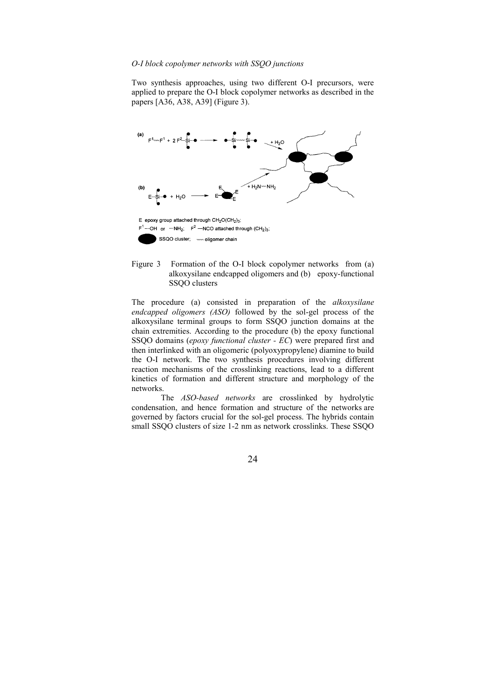#### O-I block copolymer networks with SSQO junctions

Two synthesis approaches, using two different O-I precursors, were applied to prepare the O-I block copolymer networks as described in the papers [A36, A38, A39] (Figure 3).



Figure 3 Formation of the O-I block copolymer networks from (a) alkoxysilane endcapped oligomers and (b) epoxy-functional SSQO clusters

The procedure (a) consisted in preparation of the alkoxysilane endcapped oligomers (ASO) followed by the sol-gel process of the alkoxysilane terminal groups to form SSQO junction domains at the chain extremities. According to the procedure (b) the epoxy functional SSQO domains (epoxy functional cluster - EC) were prepared first and then interlinked with an oligomeric (polyoxypropylene) diamine to build the O-I network. The two synthesis procedures involving different reaction mechanisms of the crosslinking reactions, lead to a different kinetics of formation and different structure and morphology of the networks.

 The ASO-based networks are crosslinked by hydrolytic condensation, and hence formation and structure of the networks are governed by factors crucial for the sol-gel process. The hybrids contain small SSQO clusters of size 1-2 nm as network crosslinks. These SSQO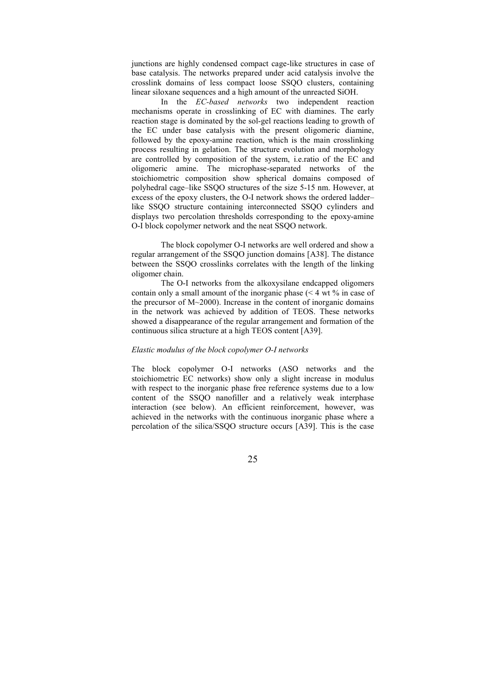junctions are highly condensed compact cage-like structures in case of base catalysis. The networks prepared under acid catalysis involve the crosslink domains of less compact loose SSQO clusters, containing linear siloxane sequences and a high amount of the unreacted SiOH.

In the EC-based networks two independent reaction mechanisms operate in crosslinking of EC with diamines. The early reaction stage is dominated by the sol-gel reactions leading to growth of the EC under base catalysis with the present oligomeric diamine, followed by the epoxy-amine reaction, which is the main crosslinking process resulting in gelation. The structure evolution and morphology are controlled by composition of the system, i.e.ratio of the EC and oligomeric amine. The microphase-separated networks of the stoichiometric composition show spherical domains composed of polyhedral cage–like SSQO structures of the size 5-15 nm. However, at excess of the epoxy clusters, the O-I network shows the ordered ladder– like SSQO structure containing interconnected SSQO cylinders and displays two percolation thresholds corresponding to the epoxy-amine O-I block copolymer network and the neat SSQO network.

The block copolymer O-I networks are well ordered and show a regular arrangement of the SSQO junction domains [A38]. The distance between the SSQO crosslinks correlates with the length of the linking oligomer chain.

The O-I networks from the alkoxysilane endcapped oligomers contain only a small amount of the inorganic phase  $($  < 4 wt  $\%$  in case of the precursor of M~2000). Increase in the content of inorganic domains in the network was achieved by addition of TEOS. These networks showed a disappearance of the regular arrangement and formation of the continuous silica structure at a high TEOS content [A39].

#### Elastic modulus of the block copolymer O-I networks

The block copolymer O-I networks (ASO networks and the stoichiometric EC networks) show only a slight increase in modulus with respect to the inorganic phase free reference systems due to a low content of the SSQO nanofiller and a relatively weak interphase interaction (see below). An efficient reinforcement, however, was achieved in the networks with the continuous inorganic phase where a percolation of the silica/SSQO structure occurs [A39]. This is the case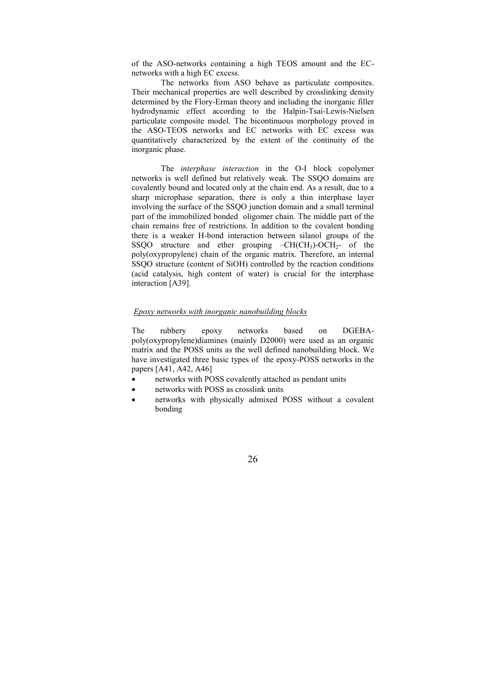of the ASO-networks containing a high TEOS amount and the ECnetworks with a high EC excess.

 The networks from ASO behave as particulate composites. Their mechanical properties are well described by crosslinking density determined by the Flory-Erman theory and including the inorganic filler hydrodynamic effect according to the Halpin-Tsai-Lewis-Nielsen particulate composite model. The bicontinuous morphology proved in the ASO-TEOS networks and EC networks with EC excess was quantitatively characterized by the extent of the continuity of the inorganic phase.

 The interphase interaction in the O-I block copolymer networks is well defined but relatively weak. The SSQO domains are covalently bound and located only at the chain end. As a result, due to a sharp microphase separation, there is only a thin interphase layer involving the surface of the SSQO junction domain and a small terminal part of the immobilized bonded oligomer chain. The middle part of the chain remains free of restrictions. In addition to the covalent bonding there is a weaker H-bond interaction between silanol groups of the SSQO structure and ether grouping  $-CH(CH_3)-OCH_2$ - of the poly(oxypropylene) chain of the organic matrix. Therefore, an internal SSQO structure (content of SiOH) controlled by the reaction conditions (acid catalysis, high content of water) is crucial for the interphase interaction [A39].

#### Epoxy networks with inorganic nanobuilding blocks

The rubbery epoxy networks based on DGEBApoly(oxypropylene)diamines (mainly D2000) were used as an organic matrix and the POSS units as the well defined nanobuilding block. We have investigated three basic types of the epoxy-POSS networks in the papers [A41, A42, A46]

- networks with POSS covalently attached as pendant units
- networks with POSS as crosslink units
- networks with physically admixed POSS without a covalent bonding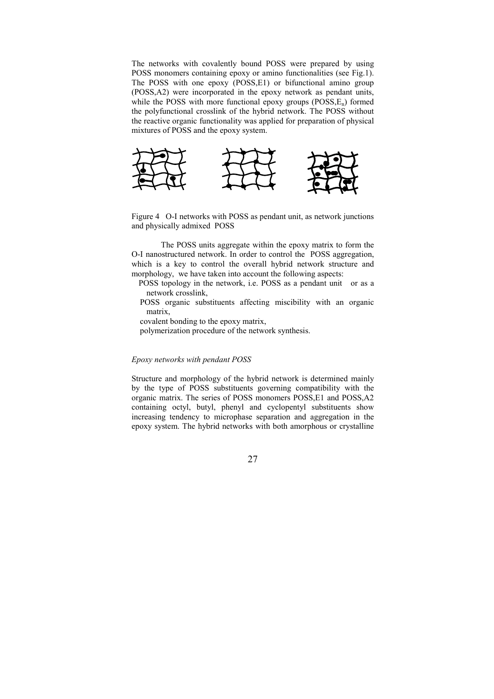The networks with covalently bound POSS were prepared by using POSS monomers containing epoxy or amino functionalities (see Fig.1). The POSS with one epoxy (POSS,E1) or bifunctional amino group (POSS,A2) were incorporated in the epoxy network as pendant units, while the POSS with more functional epoxy groups  $(POSS, E_n)$  formed the polyfunctional crosslink of the hybrid network. The POSS without the reactive organic functionality was applied for preparation of physical mixtures of POSS and the epoxy system.



Figure 4 O-I networks with POSS as pendant unit, as network junctions and physically admixed POSS

The POSS units aggregate within the epoxy matrix to form the O-I nanostructured network. In order to control the POSS aggregation, which is a key to control the overall hybrid network structure and morphology, we have taken into account the following aspects:

 POSS topology in the network, i.e. POSS as a pendant unit or as a network crosslink,

 POSS organic substituents affecting miscibility with an organic matrix,

covalent bonding to the epoxy matrix,

polymerization procedure of the network synthesis.

## Epoxy networks with pendant POSS

Structure and morphology of the hybrid network is determined mainly by the type of POSS substituents governing compatibility with the organic matrix. The series of POSS monomers POSS,E1 and POSS,A2 containing octyl, butyl, phenyl and cyclopentyl substituents show increasing tendency to microphase separation and aggregation in the epoxy system. The hybrid networks with both amorphous or crystalline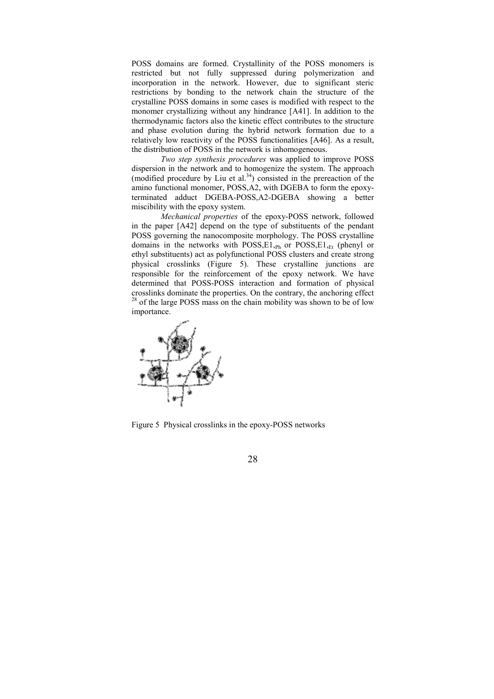POSS domains are formed. Crystallinity of the POSS monomers is restricted but not fully suppressed during polymerization and incorporation in the network. However, due to significant steric restrictions by bonding to the network chain the structure of the crystalline POSS domains in some cases is modified with respect to the monomer crystallizing without any hindrance [A41]. In addition to the thermodynamic factors also the kinetic effect contributes to the structure and phase evolution during the hybrid network formation due to a relatively low reactivity of the POSS functionalities [A46]. As a result, the distribution of POSS in the network is inhomogeneous.

 Two step synthesis procedures was applied to improve POSS dispersion in the network and to homogenize the system. The approach (modified procedure by Liu et al. $34$ ) consisted in the prereaction of the amino functional monomer, POSS,A2, with DGEBA to form the epoxyterminated adduct DGEBA-POSS,A2-DGEBA showing a better miscibility with the epoxy system.

Mechanical properties of the epoxy-POSS network, followed in the paper [A42] depend on the type of substituents of the pendant POSS governing the nanocomposite morphology. The POSS crystalline domains in the networks with POSS, E1, Ph or POSS, E1, Et (phenyl or ethyl substituents) act as polyfunctional POSS clusters and create strong physical crosslinks (Figure 5). These crystalline junctions are responsible for the reinforcement of the epoxy network. We have determined that POSS-POSS interaction and formation of physical crosslinks dominate the properties. On the contrary, the anchoring effect  $28$  of the large POSS mass on the chain mobility was shown to be of low importance.



Figure 5 Physical crosslinks in the epoxy-POSS networks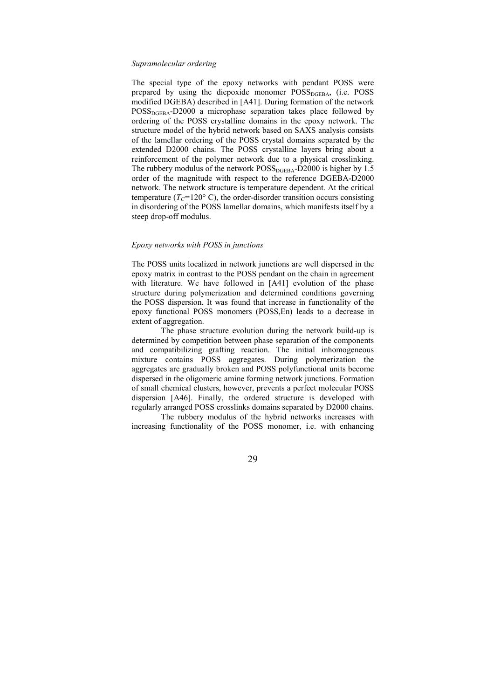#### Supramolecular ordering

The special type of the epoxy networks with pendant POSS were prepared by using the diepoxide monomer  $POSS<sub>DGEBA</sub>$ , (i.e.  $POSS$ modified DGEBA) described in [A41]. During formation of the network  $POSS<sub>DGERA</sub>-D2000$  a microphase separation takes place followed by ordering of the POSS crystalline domains in the epoxy network. The structure model of the hybrid network based on SAXS analysis consists of the lamellar ordering of the POSS crystal domains separated by the extended D2000 chains. The POSS crystalline layers bring about a reinforcement of the polymer network due to a physical crosslinking. The rubbery modulus of the network  $POSS<sub>DGERA</sub>-D2000$  is higher by 1.5 order of the magnitude with respect to the reference DGEBA-D2000 network. The network structure is temperature dependent. At the critical temperature ( $T_c$ =120° C), the order-disorder transition occurs consisting in disordering of the POSS lamellar domains, which manifests itself by a steep drop-off modulus.

#### Epoxy networks with POSS in junctions

The POSS units localized in network junctions are well dispersed in the epoxy matrix in contrast to the POSS pendant on the chain in agreement with literature. We have followed in [A41] evolution of the phase structure during polymerization and determined conditions governing the POSS dispersion. It was found that increase in functionality of the epoxy functional POSS monomers (POSS,En) leads to a decrease in extent of aggregation.

 The phase structure evolution during the network build-up is determined by competition between phase separation of the components and compatibilizing grafting reaction. The initial inhomogeneous mixture contains POSS aggregates. During polymerization the aggregates are gradually broken and POSS polyfunctional units become dispersed in the oligomeric amine forming network junctions. Formation of small chemical clusters, however, prevents a perfect molecular POSS dispersion [A46]. Finally, the ordered structure is developed with regularly arranged POSS crosslinks domains separated by D2000 chains.

 The rubbery modulus of the hybrid networks increases with increasing functionality of the POSS monomer, i.e. with enhancing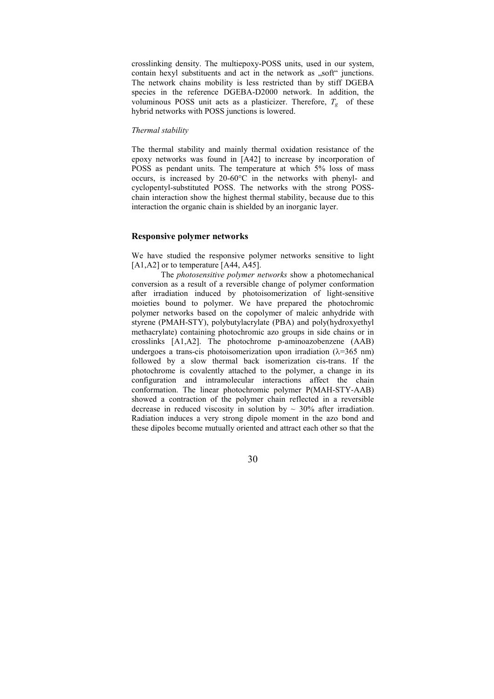crosslinking density. The multiepoxy-POSS units, used in our system, contain hexyl substituents and act in the network as "soft" junctions. The network chains mobility is less restricted than by stiff DGEBA species in the reference DGEBA-D2000 network. In addition, the voluminous POSS unit acts as a plasticizer. Therefore,  $T_g$  of these hybrid networks with POSS junctions is lowered.

#### Thermal stability

The thermal stability and mainly thermal oxidation resistance of the epoxy networks was found in [A42] to increase by incorporation of POSS as pendant units. The temperature at which 5% loss of mass occurs, is increased by 20-60°C in the networks with phenyl- and cyclopentyl-substituted POSS. The networks with the strong POSSchain interaction show the highest thermal stability, because due to this interaction the organic chain is shielded by an inorganic layer.

## Responsive polymer networks

We have studied the responsive polymer networks sensitive to light  $[A1,A2]$  or to temperature  $[A44, A45]$ .

The *photosensitive polymer networks* show a photomechanical conversion as a result of a reversible change of polymer conformation after irradiation induced by photoisomerization of light-sensitive moieties bound to polymer. We have prepared the photochromic polymer networks based on the copolymer of maleic anhydride with styrene (PMAH-STY), polybutylacrylate (PBA) and poly(hydroxyethyl methacrylate) containing photochromic azo groups in side chains or in crosslinks [A1,A2]. The photochrome p-aminoazobenzene (AAB) undergoes a trans-cis photoisomerization upon irradiation  $(\lambda = 365 \text{ nm})$ followed by a slow thermal back isomerization cis-trans. If the photochrome is covalently attached to the polymer, a change in its configuration and intramolecular interactions affect the chain conformation. The linear photochromic polymer P(MAH-STY-AAB) showed a contraction of the polymer chain reflected in a reversible decrease in reduced viscosity in solution by  $\sim 30\%$  after irradiation. Radiation induces a very strong dipole moment in the azo bond and these dipoles become mutually oriented and attract each other so that the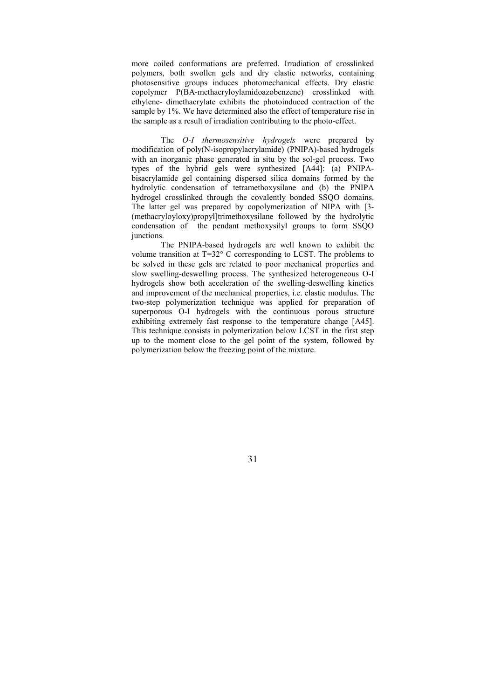more coiled conformations are preferred. Irradiation of crosslinked polymers, both swollen gels and dry elastic networks, containing photosensitive groups induces photomechanical effects. Dry elastic copolymer P(BA-methacryloylamidoazobenzene) crosslinked with ethylene- dimethacrylate exhibits the photoinduced contraction of the sample by 1%. We have determined also the effect of temperature rise in the sample as a result of irradiation contributing to the photo-effect.

The *O-I* thermosensitive hydrogels were prepared by modification of poly(N-isopropylacrylamide) (PNIPA)-based hydrogels with an inorganic phase generated in situ by the sol-gel process. Two types of the hybrid gels were synthesized [A44]: (a) PNIPAbisacrylamide gel containing dispersed silica domains formed by the hydrolytic condensation of tetramethoxysilane and (b) the PNIPA hydrogel crosslinked through the covalently bonded SSQO domains. The latter gel was prepared by copolymerization of NIPA with [3- (methacryloyloxy)propyl]trimethoxysilane followed by the hydrolytic condensation of the pendant methoxysilyl groups to form SSQO junctions.

 The PNIPA-based hydrogels are well known to exhibit the volume transition at T=32° C corresponding to LCST. The problems to be solved in these gels are related to poor mechanical properties and slow swelling-deswelling process. The synthesized heterogeneous O-I hydrogels show both acceleration of the swelling-deswelling kinetics and improvement of the mechanical properties, i.e. elastic modulus. The two-step polymerization technique was applied for preparation of superporous O-I hydrogels with the continuous porous structure exhibiting extremely fast response to the temperature change [A45]. This technique consists in polymerization below LCST in the first step up to the moment close to the gel point of the system, followed by polymerization below the freezing point of the mixture.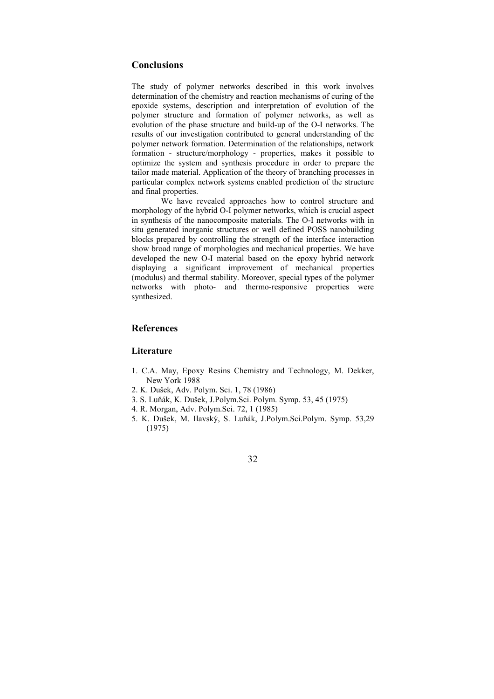# **Conclusions**

The study of polymer networks described in this work involves determination of the chemistry and reaction mechanisms of curing of the epoxide systems, description and interpretation of evolution of the polymer structure and formation of polymer networks, as well as evolution of the phase structure and build-up of the O-I networks. The results of our investigation contributed to general understanding of the polymer network formation. Determination of the relationships, network formation - structure/morphology - properties, makes it possible to optimize the system and synthesis procedure in order to prepare the tailor made material. Application of the theory of branching processes in particular complex network systems enabled prediction of the structure and final properties.

We have revealed approaches how to control structure and morphology of the hybrid O-I polymer networks, which is crucial aspect in synthesis of the nanocomposite materials. The O-I networks with in situ generated inorganic structures or well defined POSS nanobuilding blocks prepared by controlling the strength of the interface interaction show broad range of morphologies and mechanical properties. We have developed the new O-I material based on the epoxy hybrid network displaying a significant improvement of mechanical properties (modulus) and thermal stability. Moreover, special types of the polymer networks with photo- and thermo-responsive properties were synthesized.

# References

# **Literature**

- 1. C.A. May, Epoxy Resins Chemistry and Technology, M. Dekker, New York 1988
- 2. K. Dušek, Adv. Polym. Sci. 1, 78 (1986)
- 3. S. Luňák, K. Dušek, J.Polym.Sci. Polym. Symp. 53, 45 (1975)
- 4. R. Morgan, Adv. Polym.Sci. 72, 1 (1985)
- 5. K. Dušek, M. Ilavský, S. Luňák, J.Polym.Sci.Polym. Symp. 53,29 (1975)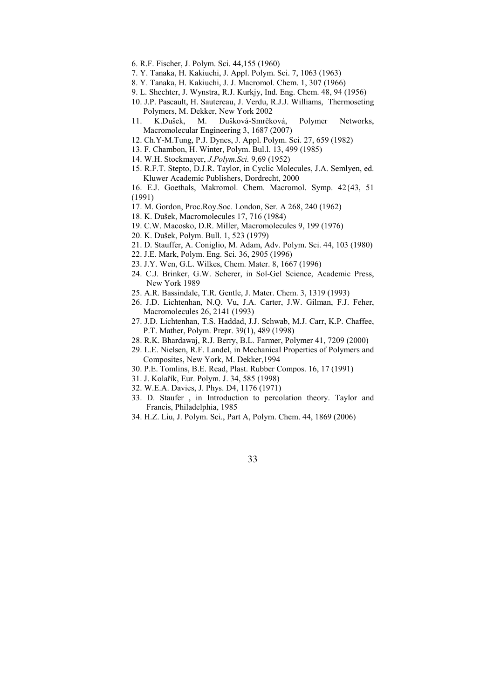- 6. R.F. Fischer, J. Polym. Sci. 44,155 (1960)
- 7. Y. Tanaka, H. Kakiuchi, J. Appl. Polym. Sci. 7, 1063 (1963)
- 8. Y. Tanaka, H. Kakiuchi, J. J. Macromol. Chem. 1, 307 (1966)
- 9. L. Shechter, J. Wynstra, R.J. Kurkjy, Ind. Eng. Chem. 48, 94 (1956)
- 10. J.P. Pascault, H. Sautereau, J. Verdu, R.J.J. Williams, Thermoseting Polymers, M. Dekker, New York 2002
- 11. K.Dušek, M. Dušková-Smrčková, Polymer Networks, Macromolecular Engineering 3, 1687 (2007)
- 12. Ch.Y-M.Tung, P.J. Dynes, J. Appl. Polym. Sci. 27, 659 (1982)
- 13. F. Chambon, H. Winter, Polym. Bul.l. 13, 499 (1985)
- 14. W.H. Stockmayer, J.Polym.Sci. 9,69 (1952)
- 15. R.F.T. Stepto, D.J.R. Taylor, in Cyclic Molecules, J.A. Semlyen, ed. Kluwer Academic Publishers, Dordrecht, 2000
- 16. E.J. Goethals, Makromol. Chem. Macromol. Symp. 42{43, 51 (1991)
- 17. M. Gordon, Proc.Roy.Soc. London, Ser. A 268, 240 (1962)
- 18. K. Dušek, Macromolecules 17, 716 (1984)
- 19. C.W. Macosko, D.R. Miller, Macromolecules 9, 199 (1976)
- 20. K. Dušek, Polym. Bull. 1, 523 (1979)
- 21. D. Stauffer, A. Coniglio, M. Adam, Adv. Polym. Sci. 44, 103 (1980)
- 22. J.E. Mark, Polym. Eng. Sci. 36, 2905 (1996)
- 23. J.Y. Wen, G.L. Wilkes, Chem. Mater. 8, 1667 (1996)
- 24. C.J. Brinker, G.W. Scherer, in Sol-Gel Science, Academic Press, New York 1989
- 25. A.R. Bassindale, T.R. Gentle, J. Mater. Chem. 3, 1319 (1993)
- 26. J.D. Lichtenhan, N.Q. Vu, J.A. Carter, J.W. Gilman, F.J. Feher, Macromolecules 26, 2141 (1993)
- 27. J.D. Lichtenhan, T.S. Haddad, J.J. Schwab, M.J. Carr, K.P. Chaffee, P.T. Mather, Polym. Prepr. 39(1), 489 (1998)
- 28. R.K. Bhardawaj, R.J. Berry, B.L. Farmer, Polymer 41, 7209 (2000)
- 29. L.E. Nielsen, R.F. Landel, in Mechanical Properties of Polymers and Composites, New York, M. Dekker,1994
- 30. P.E. Tomlins, B.E. Read, Plast. Rubber Compos. 16, 17 (1991)
- 31. J. Kolařík, Eur. Polym. J. 34, 585 (1998)
- 32. W.E.A. Davies, J. Phys. D4, 1176 (1971)
- 33. D. Staufer , in Introduction to percolation theory. Taylor and Francis, Philadelphia, 1985
- 34. H.Z. Liu, J. Polym. Sci., Part A, Polym. Chem. 44, 1869 (2006)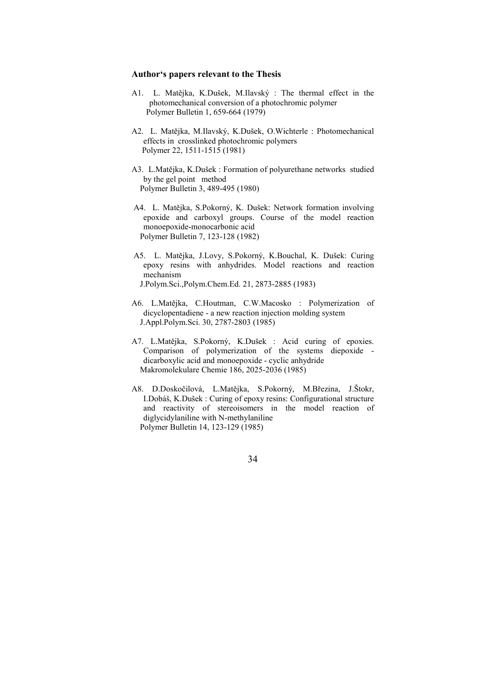#### Author's papers relevant to the Thesis

- A1. L. Matějka, K.Dušek, M.Ilavský : The thermal effect in the photomechanical conversion of a photochromic polymer Polymer Bulletin 1, 659-664 (1979)
- A2. L. Matějka, M.Ilavský, K.Dušek, O.Wichterle : Photomechanical effects in crosslinked photochromic polymers Polymer 22, 1511-1515 (1981)
- A3. L.Matějka, K.Dušek : Formation of polyurethane networks studied by the gel point method Polymer Bulletin 3, 489-495 (1980)
- A4. L. Matějka, S.Pokorný, K. Dušek: Network formation involving epoxide and carboxyl groups. Course of the model reaction monoepoxide-monocarbonic acid Polymer Bulletin 7, 123-128 (1982)
- A5. L. Matějka, J.Lovy, S.Pokorný, K.Bouchal, K. Dušek: Curing epoxy resins with anhydrides. Model reactions and reaction mechanism J.Polym.Sci.,Polym.Chem.Ed. 21, 2873-2885 (1983)
- A6. L.Matějka, C.Houtman, C.W.Macosko : Polymerization of dicyclopentadiene - a new reaction injection molding system J.Appl.Polym.Sci. 30, 2787-2803 (1985)
- A7. L.Matějka, S.Pokorný, K.Dušek : Acid curing of epoxies. Comparison of polymerization of the systems diepoxide dicarboxylic acid and monoepoxide - cyclic anhydride Makromolekulare Chemie 186, 2025-2036 (1985)
- A8. D.Doskočilová, L.Matějka, S.Pokorný, M.Březina, J.Štokr, I.Dobáš, K.Dušek : Curing of epoxy resins: Configurational structure and reactivity of stereoisomers in the model reaction of diglycidylaniline with N-methylaniline Polymer Bulletin 14, 123-129 (1985)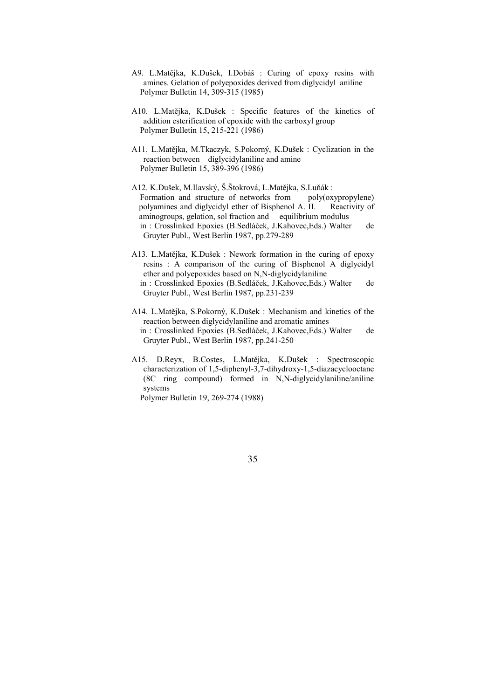- A9. L.Matějka, K.Dušek, I.Dobáš : Curing of epoxy resins with amines. Gelation of polyepoxides derived from diglycidyl aniline Polymer Bulletin 14, 309-315 (1985)
- A10. L.Matějka, K.Dušek : Specific features of the kinetics of addition esterification of epoxide with the carboxyl group Polymer Bulletin 15, 215-221 (1986)
- A11. L.Matějka, M.Tkaczyk, S.Pokorný, K.Dušek : Cyclization in the reaction between diglycidylaniline and amine Polymer Bulletin 15, 389-396 (1986)
- A12. K.Dušek, M.Ilavský, Š.Štokrová, L.Matějka, S.Luňák : Formation and structure of networks from poly(oxypropylene) polyamines and diglycidyl ether of Bisphenol A. II. Reactivity of aminogroups, gelation, sol fraction and equilibrium modulus in : Crosslinked Epoxies (B.Sedláček, J.Kahovec,Eds.) Walter de Gruyter Publ., West Berlin 1987, pp.279-289
- A13. L.Matějka, K.Dušek : Nework formation in the curing of epoxy resins : A comparison of the curing of Bisphenol A diglycidyl ether and polyepoxides based on N,N-diglycidylaniline in : Crosslinked Epoxies (B.Sedláček, J.Kahovec,Eds.) Walter de Gruyter Publ., West Berlin 1987, pp.231-239
- A14. L.Matějka, S.Pokorný, K.Dušek : Mechanism and kinetics of the reaction between diglycidylaniline and aromatic amines in : Crosslinked Epoxies (B.Sedláček, J.Kahovec,Eds.) Walter de Gruyter Publ., West Berlin 1987, pp.241-250
- A15. D.Reyx, B.Costes, L.Matějka, K.Dušek : Spectroscopic characterization of 1,5-diphenyl-3,7-dihydroxy-1,5-diazacyclooctane (8C ring compound) formed in N,N-diglycidylaniline/aniline systems

Polymer Bulletin 19, 269-274 (1988)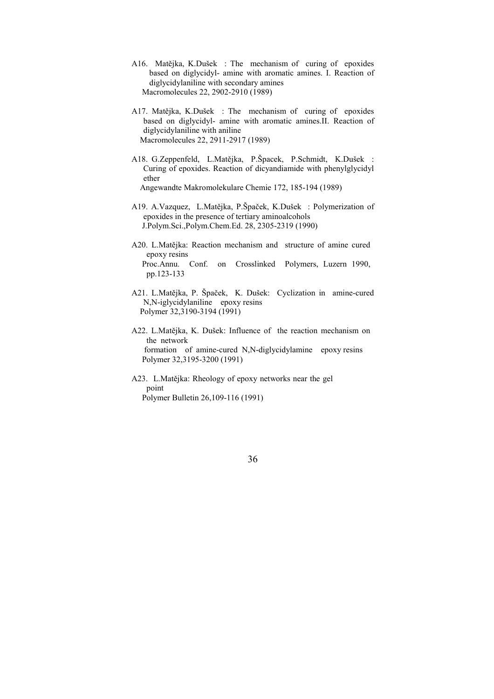- A16. Matějka, K.Dušek : The mechanism of curing of epoxides based on diglycidyl- amine with aromatic amines. I. Reaction of diglycidylaniline with secondary amines Macromolecules 22, 2902-2910 (1989)
- A17. Matějka, K.Dušek : The mechanism of curing of epoxides based on diglycidyl- amine with aromatic amines.II. Reaction of diglycidylaniline with aniline Macromolecules 22, 2911-2917 (1989)
- A18. G.Zeppenfeld, L.Matějka, P.Špacek, P.Schmidt, K.Dušek : Curing of epoxides. Reaction of dicyandiamide with phenylglycidyl ether Angewandte Makromolekulare Chemie 172, 185-194 (1989)
- A19. A.Vazquez, L.Matějka, P.Špaček, K.Dušek : Polymerization of epoxides in the presence of tertiary aminoalcohols J.Polym.Sci.,Polym.Chem.Ed. 28, 2305-2319 (1990)
- A20. L.Matějka: Reaction mechanism and structure of amine cured epoxy resins Proc.Annu. Conf. on Crosslinked Polymers, Luzern 1990, pp.123-133
- A21. L.Matějka, P. Špaček, K. Dušek: Cyclization in amine-cured N,N-iglycidylaniline epoxy resins Polymer 32,3190-3194 (1991)
- A22. L.Matějka, K. Dušek: Influence of the reaction mechanism on the network formation of amine-cured N,N-diglycidylamine epoxy resins Polymer 32,3195-3200 (1991)
- A23. L.Matějka: Rheology of epoxy networks near the gel point Polymer Bulletin 26,109-116 (1991)
- 36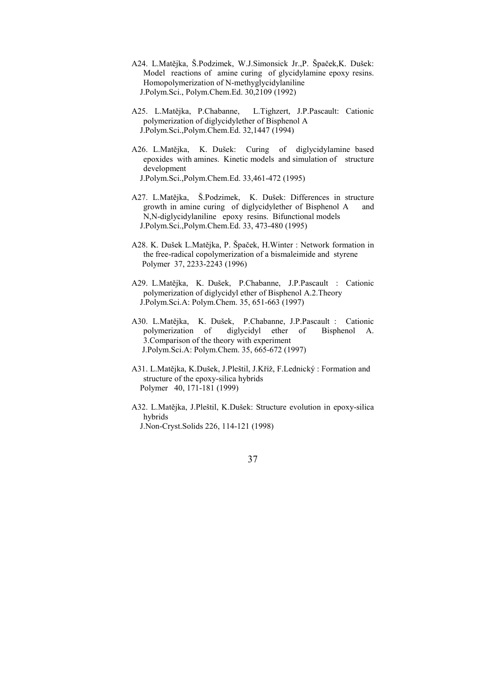- A24. L.Matějka, Š.Podzimek, W.J.Simonsick Jr.,P. Špaček,K. Dušek: Model reactions of amine curing of glycidylamine epoxy resins. Homopolymerization of N-methyglycidylaniline J.Polym.Sci., Polym.Chem.Ed. 30,2109 (1992)
- A25. L.Matějka, P.Chabanne, L.Tighzert, J.P.Pascault: Cationic polymerization of diglycidylether of Bisphenol A J.Polym.Sci.,Polym.Chem.Ed. 32,1447 (1994)
- A26. L.Matějka, K. Dušek: Curing of diglycidylamine based epoxides with amines. Kinetic models and simulation of structure development J.Polym.Sci.,Polym.Chem.Ed. 33,461-472 (1995)
- A27. L.Matějka, Š.Podzimek, K. Dušek: Differences in structure growth in amine curing of diglycidylether of Bisphenol A and N,N-diglycidylaniline epoxy resins. Bifunctional models J.Polym.Sci.,Polym.Chem.Ed. 33, 473-480 (1995)
- A28. K. Dušek L.Matějka, P. Špaček, H.Winter : Network formation in the free-radical copolymerization of a bismaleimide and styrene Polymer 37, 2233-2243 (1996)
- A29. L.Matějka, K. Dušek, P.Chabanne, J.P.Pascault : Cationic polymerization of diglycidyl ether of Bisphenol A.2.Theory J.Polym.Sci.A: Polym.Chem. 35, 651-663 (1997)
- A30. L.Matějka, K. Dušek, P.Chabanne, J.P.Pascault : Cationic polymerization of diglycidyl ether of Bisphenol A. 3.Comparison of the theory with experiment J.Polym.Sci.A: Polym.Chem. 35, 665-672 (1997)
- A31. L.Matějka, K.Dušek, J.Pleštil, J.Kříž, F.Lednický : Formation and structure of the epoxy-silica hybrids Polymer 40, 171-181 (1999)
- A32. L.Matějka, J.Pleštil, K.Dušek: Structure evolution in epoxy-silica hybrids J.Non-Cryst.Solids 226, 114-121 (1998)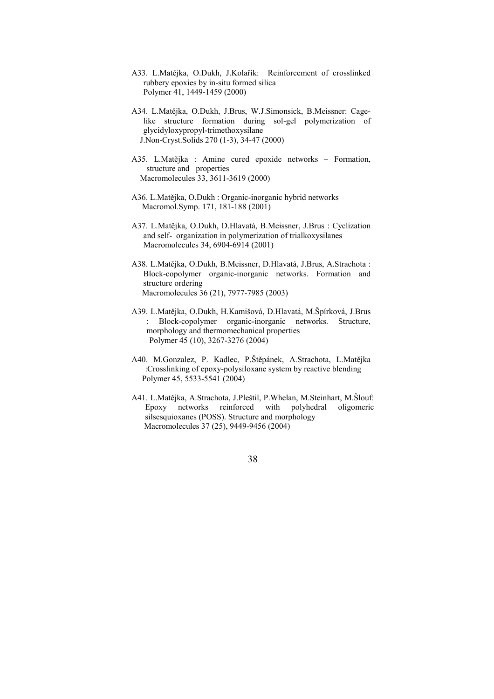- A33. L.Matějka, O.Dukh, J.Kolařík: Reinforcement of crosslinked rubbery epoxies by in-situ formed silica Polymer 41, 1449-1459 (2000)
- A34. L.Matějka, O.Dukh, J.Brus, W.J.Simonsick, B.Meissner: Cagelike structure formation during sol-gel polymerization of glycidyloxypropyl-trimethoxysilane J.Non-Cryst.Solids 270 (1-3), 34-47 (2000)
- A35. L.Matějka : Amine cured epoxide networks Formation, structure and properties Macromolecules 33, 3611-3619 (2000)
- A36. L.Matějka, O.Dukh : Organic-inorganic hybrid networks Macromol.Symp. 171, 181-188 (2001)
- A37. L.Matějka, O.Dukh, D.Hlavatá, B.Meissner, J.Brus : Cyclization and self- organization in polymerization of trialkoxysilanes Macromolecules 34, 6904-6914 (2001)
- A38. L.Matějka, O.Dukh, B.Meissner, D.Hlavatá, J.Brus, A.Strachota : Block-copolymer organic-inorganic networks. Formation and structure ordering Macromolecules 36 (21), 7977-7985 (2003)
- A39. L.Matějka, O.Dukh, H.Kamišová, D.Hlavatá, M.Špírková, J.Brus : Block-copolymer organic-inorganic networks. Structure, morphology and thermomechanical properties Polymer 45 (10), 3267-3276 (2004)
- A40. M.Gonzalez, P. Kadlec, P.Štěpánek, A.Strachota, L.Matějka :Crosslinking of epoxy-polysiloxane system by reactive blending Polymer 45, 5533-5541 (2004)
- A41. L.Matějka, A.Strachota, J.Pleštil, P.Whelan, M.Steinhart, M.Šlouf: Epoxy networks reinforced with polyhedral oligomeric silsesquioxanes (POSS). Structure and morphology Macromolecules 37 (25), 9449-9456 (2004)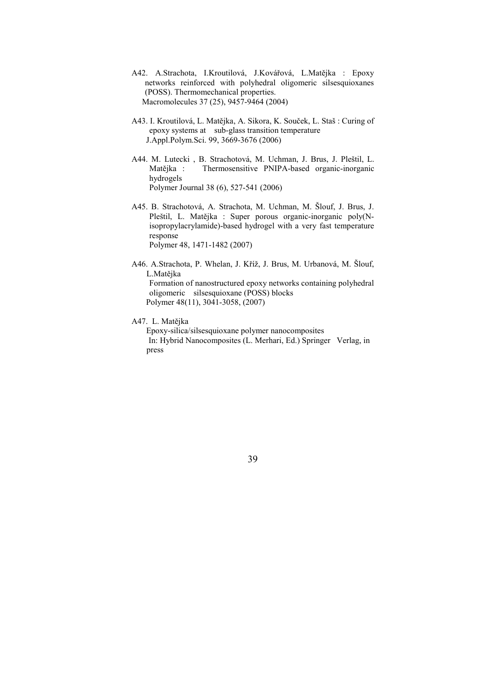- A42. A.Strachota, I.Kroutilová, J.Kovářová, L.Matějka : Epoxy networks reinforced with polyhedral oligomeric silsesquioxanes (POSS). Thermomechanical properties. Macromolecules 37 (25), 9457-9464 (2004)
- A43. I. Kroutilová, L. Matějka, A. Sikora, K. Souček, L. Staš : Curing of epoxy systems at sub-glass transition temperature J.Appl.Polym.Sci. 99, 3669-3676 (2006)
- A44. M. Lutecki , B. Strachotová, M. Uchman, J. Brus, J. Pleštil, L. Thermosensitive PNIPA-based organic-inorganic hydrogels Polymer Journal 38 (6), 527-541 (2006)
- A45. B. Strachotová, A. Strachota, M. Uchman, M. Šlouf, J. Brus, J. Pleštil, L. Matějka : Super porous organic-inorganic poly(Nisopropylacrylamide)-based hydrogel with a very fast temperature response Polymer 48, 1471-1482 (2007)
- A46. A.Strachota, P. Whelan, J. Kříž, J. Brus, M. Urbanová, M. Šlouf, L.Matějka Formation of nanostructured epoxy networks containing polyhedral oligomeric silsesquioxane (POSS) blocks

Polymer 48(11), 3041-3058, (2007)

A47. L. Matějka

 Epoxy-silica/silsesquioxane polymer nanocomposites In: Hybrid Nanocomposites (L. Merhari, Ed.) Springer Verlag, in press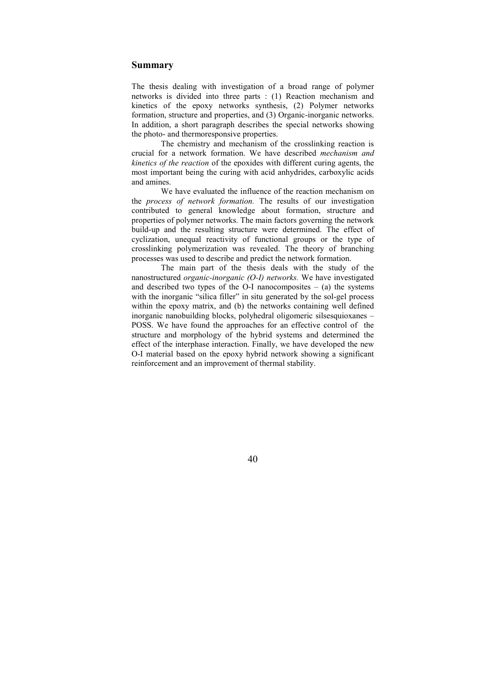# Summary

The thesis dealing with investigation of a broad range of polymer networks is divided into three parts : (1) Reaction mechanism and kinetics of the epoxy networks synthesis, (2) Polymer networks formation, structure and properties, and (3) Organic-inorganic networks. In addition, a short paragraph describes the special networks showing the photo- and thermoresponsive properties.

 The chemistry and mechanism of the crosslinking reaction is crucial for a network formation. We have described mechanism and kinetics of the reaction of the epoxides with different curing agents, the most important being the curing with acid anhydrides, carboxylic acids and amines.

We have evaluated the influence of the reaction mechanism on the process of network formation. The results of our investigation contributed to general knowledge about formation, structure and properties of polymer networks. The main factors governing the network build-up and the resulting structure were determined. The effect of cyclization, unequal reactivity of functional groups or the type of crosslinking polymerization was revealed. The theory of branching processes was used to describe and predict the network formation.

The main part of the thesis deals with the study of the nanostructured organic-inorganic (O-I) networks. We have investigated and described two types of the O-I nanocomposites  $-$  (a) the systems with the inorganic "silica filler" in situ generated by the sol-gel process within the epoxy matrix, and (b) the networks containing well defined inorganic nanobuilding blocks, polyhedral oligomeric silsesquioxanes – POSS. We have found the approaches for an effective control of the structure and morphology of the hybrid systems and determined the effect of the interphase interaction. Finally, we have developed the new O-I material based on the epoxy hybrid network showing a significant reinforcement and an improvement of thermal stability.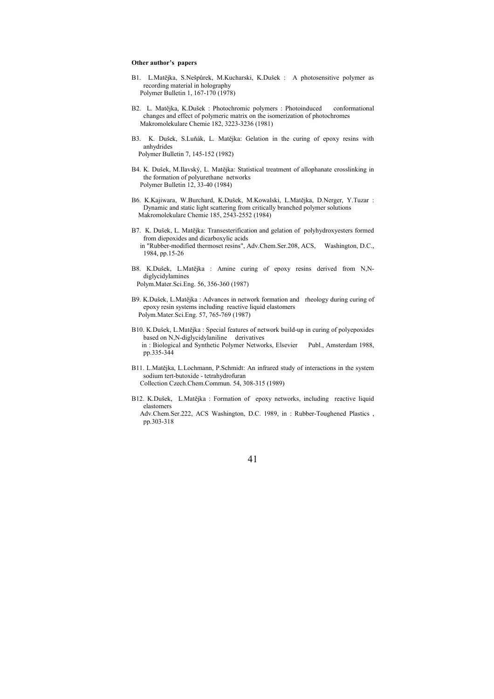#### Other author's papers

- B1. L.Matějka, S.Nešpůrek, M.Kucharski, K.Dušek : A photosensitive polymer as recording material in holography Polymer Bulletin 1, 167-170 (1978)
- B2. L. Matějka, K.Dušek : Photochromic polymers : Photoinduced conformational changes and effect of polymeric matrix on the isomerization of photochromes Makromolekulare Chemie 182, 3223-3236 (1981)
- B3. K. Dušek, S.Luňák, L. Matějka: Gelation in the curing of epoxy resins with anhydrides Polymer Bulletin 7, 145-152 (1982)
- B4. K. Dušek, M.Ilavský, L. Matějka: Statistical treatment of allophanate crosslinking in the formation of polyurethane networks Polymer Bulletin 12, 33-40 (1984)
- B6. K.Kajiwara, W.Burchard, K.Dušek, M.Kowalski, L.Matějka, D.Nerger, Y.Tuzar : Dynamic and static light scattering from critically branched polymer solutions Makromolekulare Chemie 185, 2543-2552 (1984)
- B7. K. Dušek, L. Matějka: Transesterification and gelation of polyhydroxyesters formed from diepoxides and dicarboxylic acids in "Rubber-modified thermoset resins", Adv.Chem.Ser.208, ACS, Washington, D.C., 1984, pp.15-26
- B8. K.Dušek, L.Matějka : Amine curing of epoxy resins derived from N,Ndiglycidylamines Polym.Mater.Sci.Eng. 56, 356-360 (1987)
- B9. K.Dušek, L.Matějka : Advances in network formation and rheology during curing of epoxy resin systems including reactive liquid elastomers Polym.Mater.Sci.Eng. 57, 765-769 (1987)
- B10. K.Dušek, L.Matějka : Special features of network build-up in curing of polyepoxides based on N,N-diglycidylaniline derivatives in : Biological and Synthetic Polymer Networks, Elsevier Publ., Amsterdam 1988, pp.335-344
- B11. L.Matějka, L.Lochmann, P.Schmidt: An infrared study of interactions in the system sodium tert-butoxide - tetrahydrofuran Collection Czech.Chem.Commun. 54, 308-315 (1989)
- B12. K.Dušek, L.Matějka : Formation of epoxy networks, including reactive liquid elastomers

 Adv.Chem.Ser.222, ACS Washington, D.C. 1989, in : Rubber-Toughened Plastics , pp.303-318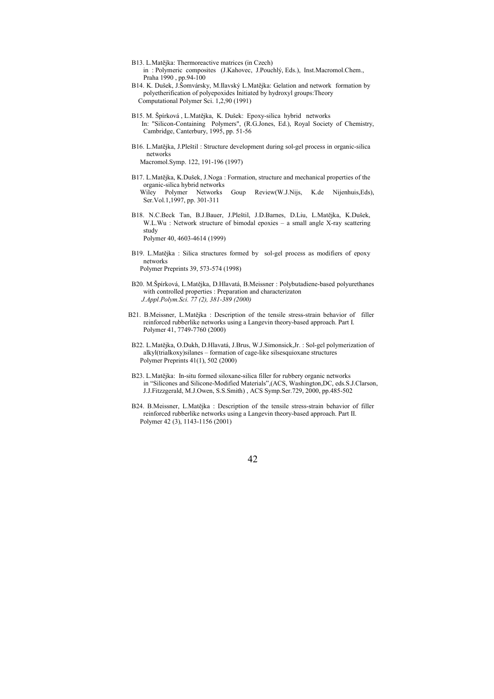- B13. L.Matějka: Thermoreactive matrices (in Czech) in : Polymeric composites (J.Kahovec, J.Pouchlý, Eds.), Inst.Macromol.Chem.,
- Praha 1990 , pp.94-100 B14. K. Dušek, J.Šomvársky, M.Ilavský L.Matějka: Gelation and network formation by polyetherification of polyepoxides Initiated by hydroxyl groups:Theory Computational Polymer Sci. 1,2,90 (1991)
- B15. M. Špírková , L.Matějka, K. Dušek: Epoxy-silica hybrid networks In: "Silicon-Containing Polymers", (R.G.Jones, Ed.), Royal Society of Chemistry, Cambridge, Canterbury, 1995, pp. 51-56
- B16. L.Matějka, J.Pleštil : Structure development during sol-gel process in organic-silica networks Macromol.Symp. 122, 191-196 (1997)

B17. L.Matějka, K.Dušek, J.Noga : Formation, structure and mechanical properties of the organic-silica hybrid networks Wiley Polymer Networks Goup Review(W.J.Nijs, K.de Nijenhuis,Eds), Ser.Vol.1,1997, pp. 301-311

B18. N.C.Beck Tan, B.J.Bauer, J.Pleštil, J.D.Barnes, D.Liu, L.Matějka, K.Dušek, W.L.Wu : Network structure of bimodal epoxies – a small angle X-ray scattering study

Polymer 40, 4603-4614 (1999)

- B19. L.Matějka : Silica structures formed by sol-gel process as modifiers of epoxy networks Polymer Preprints 39, 573-574 (1998)
- B20. M.Špírková, L.Matějka, D.Hlavatá, B.Meissner : Polybutadiene-based polyurethanes with controlled properties : Preparation and characterizaton J.Appl.Polym.Sci. 77 (2), 381-389 (2000)
- B21. B.Meissner, L.Matějka : Description of the tensile stress-strain behavior of filler reinforced rubberlike networks using a Langevin theory-based approach. Part I. Polymer 41, 7749-7760 (2000)
- B22. L.Matějka, O.Dukh, D.Hlavatá, J.Brus, W.J.Simonsick,Jr. : Sol-gel polymerization of alkyl(trialkoxy)silanes – formation of cage-like silsesquioxane structures Polymer Preprints 41(1), 502 (2000)
- B23. L.Matějka: In-situ formed siloxane-silica filler for rubbery organic networks in "Silicones and Silicone-Modified Materials",(ACS, Washington,DC, eds.S.J.Clarson, J.J.Fitzzgerald, M.J.Owen, S.S.Smith) , ACS Symp.Ser.729, 2000, pp.485-502
- B24. B.Meissner, L.Matějka : Description of the tensile stress-strain behavior of filler reinforced rubberlike networks using a Langevin theory-based approach. Part II. Polymer 42 (3), 1143-1156 (2001)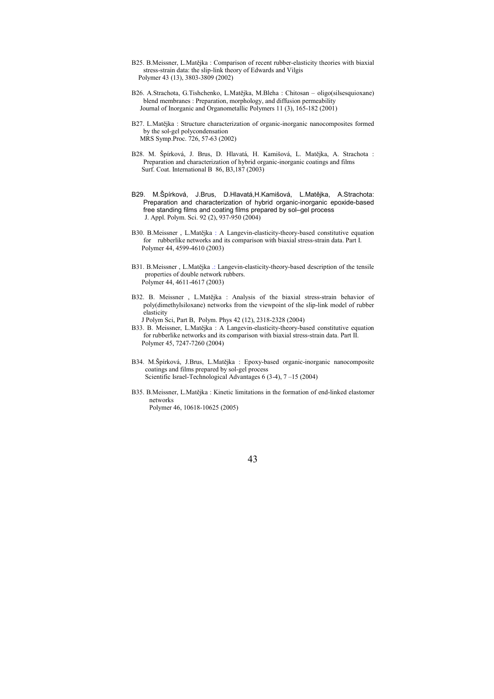- B25. B.Meissner, L.Matějka : Comparison of recent rubber-elasticity theories with biaxial stress-strain data: the slip-link theory of Edwards and Vilgis Polymer 43 (13), 3803-3809 (2002)
- B26. A.Strachota, G.Tishchenko, L.Matějka, M.Bleha : Chitosan oligo(silsesquioxane) blend membranes : Preparation, morphology, and diffusion permeability Journal of Inorganic and Organometallic Polymers 11 (3), 165-182 (2001)
- B27. L.Matějka : Structure characterization of organic-inorganic nanocomposites formed by the sol-gel polycondensation MRS Symp.Proc. 726, 57-63 (2002)
- B28. M. Špírková, J. Brus, D. Hlavatá, H. Kamišová, L. Matějka, A. Strachota : Preparation and characterization of hybrid organic-inorganic coatings and films Surf. Coat. International B 86, B3,187 (2003)
- B29. M.Špírková, J.Brus, D.Hlavatá,H.Kamišová, L.Matějka, A.Strachota: Preparation and characterization of hybrid organic-inorganic epoxide-based free standing films and coating films prepared by sol-gel process J. Appl. Polym. Sci. 92 (2), 937-950 (2004)
- B30. B.Meissner , L.Matějka : A Langevin-elasticity-theory-based constitutive equation for rubberlike networks and its comparison with biaxial stress-strain data. Part I. Polymer 44, 4599-4610 (2003)
- B31. B.Meissner , L.Matějka .: Langevin-elasticity-theory-based description of the tensile properties of double network rubbers. Polymer 44, 4611-4617 (2003)
- B32. B. Meissner , L.Matějka : Analysis of the biaxial stress-strain behavior of poly(dimethylsiloxane) networks from the viewpoint of the slip-link model of rubber elasticity
- J Polym Sci, Part B, Polym. Phys 42 (12), 2318-2328 (2004) B33. B. Meissner, L.Matějka : A Langevin-elasticity-theory-based constitutive equation for rubberlike networks and its comparison with biaxial stress-strain data. Part II. Polymer 45, 7247-7260 (2004)
- B34. M.Špírková, J.Brus, L.Matějka : Epoxy-based organic-inorganic nanocomposite coatings and films prepared by sol-gel process Scientific Israel-Technological Advantages 6 (3-4), 7 –15 (2004)
- B35. B.Meissner, L.Matějka : Kinetic limitations in the formation of end-linked elastomer networks Polymer 46, 10618-10625 (2005)
- 43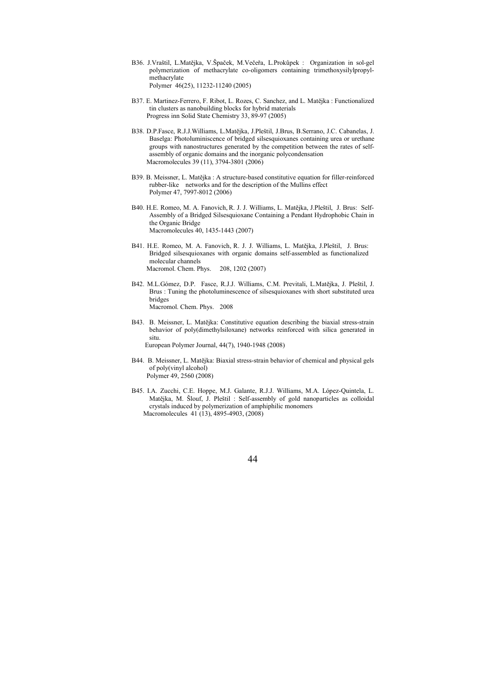- B36. J.Vraštil, L.Matějka, V.Špaček, M.Večeřa, L.Prokůpek : Organization in sol-gel polymerization of methacrylate co-oligomers containing trimethoxysilylpropylmethacrylate Polymer 46(25), 11232-11240 (2005)
- B37. E. Martinez-Ferrero, F. Ribot, L. Rozes, C. Sanchez, and L. Matějka : Functionalized tin clusters as nanobuilding blocks for hybrid materials Progress inn Solid State Chemistry 33, 89-97 (2005)
- B38. D.P.Fasce, R.J.J.Williams, L.Matějka, J.Pleštil, J.Brus, B.Serrano, J.C. Cabanelas, J. Baselga: Photoluminiscence of bridged silsesquioxanes containing urea or urethane groups with nanostructures generated by the competition between the rates of selfassembly of organic domains and the inorganic polycondensation Macromolecules 39 (11), 3794-3801 (2006)
- B39. B. Meissner, L. Matějka : A structure-based constitutive equation for filler-reinforced rubber-like networks and for the description of the Mullins effect Polymer 47, 7997-8012 (2006)
- B40. H.E. Romeo, M. A. Fanovich, R. J. J. Williams, L. Matějka, J.Pleštil, J. Brus: Self-Assembly of a Bridged Silsesquioxane Containing a Pendant Hydrophobic Chain in the Organic Bridge Macromolecules 40, 1435-1443 (2007)
- B41. H.E. Romeo, M. A. Fanovich, R. J. J. Williams, L. Matějka, J.Pleštil, J. Brus: Bridged silsesquioxanes with organic domains self-assembled as functionalized molecular channels Macromol. Chem. Phys. 208, 1202 (2007)
- B42. M.L.Gómez, D.P. Fasce, R.J.J. Williams, C.M. Previtali, L.Matějka, J. Pleštil, J. Brus : Tuning the photoluminescence of silsesquioxanes with short substituted urea bridges Macromol. Chem. Phys. 2008
- B43. B. Meissner, L. Matějka: Constitutive equation describing the biaxial stress-strain behavior of poly(dimethylsiloxane) networks reinforced with silica generated in situ. European Polymer Journal, 44(7), 1940-1948 (2008)
- B44. B. Meissner, L. Matějka: Biaxial stress-strain behavior of chemical and physical gels of poly(vinyl alcohol) Polymer 49, 2560 (2008)
- B45. I.A. Zucchi, C.E. Hoppe, M.J. Galante, R.J.J. Williams, M.A. López-Quintela, L. Matějka, M. Šlouf, J. Pleštil : Self-assembly of gold nanoparticles as colloidal crystals induced by polymerization of amphiphilic monomers Macromolecules 41 (13), 4895-4903, (2008)

44 and 2012 and 2014 and 2014 and 2014 and 2014 and 2014 and 2014 and 2014 and 2014 and 2014 and 2014 and 2014